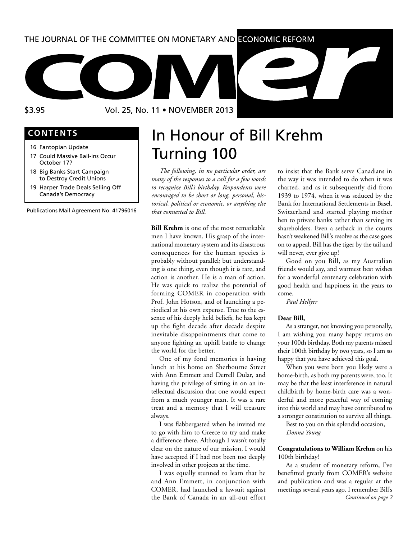### THE JOURNAL OF THE COMMITTEE ON MONETARY AND ECONOMIC REFORM

\$3.95 Vol. 25, No. 11 • NOVEMBER 2013

### **CONTENTS**

- 16 Fantopian Update
- 17 Could Massive Bail-ins Occur October 17?
- 18 Big Banks Start Campaign to Destroy Credit Unions
- 19 Harper Trade Deals Selling Off Canada's Democracy

Publications Mail Agreement No. 41796016

## In Honour of Bill Krehm Turning 100

*The following, in no particular order, are many of the responses to a call for a few words to recognize Bill's birthday. Respondents were encouraged to be short or long, personal, historical, political or economic, or anything else that connected to Bill.*

**Bill Krehm** is one of the most remarkable men I have known. His grasp of the international monetary system and its disastrous consequences for the human species is probably without parallel; but understanding is one thing, even though it is rare, and action is another. He is a man of action. He was quick to realize the potential of forming COMER in cooperation with Prof. John Hotson, and of launching a periodical at his own expense. True to the essence of his deeply held beliefs, he has kept up the fight decade after decade despite inevitable disappointments that come to anyone fighting an uphill battle to change the world for the better.

One of my fond memories is having lunch at his home on Sherbourne Street with Ann Emmett and Derrell Dular, and having the privilege of sitting in on an intellectual discussion that one would expect from a much younger man. It was a rare treat and a memory that I will treasure always.

I was flabbergasted when he invited me to go with him to Greece to try and make a difference there. Although I wasn't totally clear on the nature of our mission, I would have accepted if I had not been too deeply involved in other projects at the time.

I was equally stunned to learn that he and Ann Emmett, in conjunction with COMER, had launched a lawsuit against the Bank of Canada in an all-out effort to insist that the Bank serve Canadians in the way it was intended to do when it was charted, and as it subsequently did from 1939 to 1974, when it was seduced by the Bank for International Settlements in Basel, Switzerland and started playing mother hen to private banks rather than serving its shareholders. Even a setback in the courts hasn't weakened Bill's resolve as the case goes on to appeal. Bill has the tiger by the tail and will never, ever give up!

Good on you Bill, as my Australian friends would say, and warmest best wishes for a wonderful centenary celebration with good health and happiness in the years to come.

*Paul Hellyer*

#### **Dear Bill,**

As a stranger, not knowing you personally, I am wishing you many happy returns on your 100th birthday. Both my parents missed their 100th birthday by two years, so I am so happy that you have achieved this goal.

When you were born you likely were a home-birth, as both my parents were, too. It may be that the least interference in natural childbirth by home-birth care was a wonderful and more peaceful way of coming into this world and may have contributed to a stronger constitution to survive all things.

Best to you on this splendid occasion, *Donna Young*

#### **Congratulations to William Krehm** on his 100th birthday!

As a student of monetary reform, I've benefitted greatly from COMER's website and publication and was a regular at the meetings several years ago. I remember Bill's *Continued on page 2*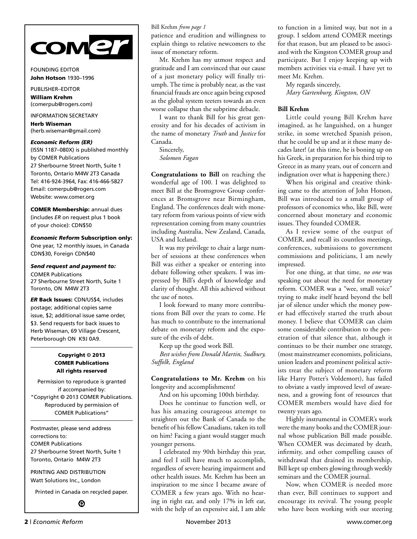

FOUNDING EDITOR John Hotson 1930–1996

PUBLISHER–EDITOR William Krehm (comerpub@rogers.com)

INFORMATION SECRETARY Herb Wiseman (herb.wiseman@gmail.com)

*Economic Reform (ER)* 

(ISSN 1187–080X) is published monthly by COMER Publications 27 Sherbourne Street North, Suite 1 Toronto, Ontario M4W 2T3 Canada Tel: 416 -924-3964, Fax: 416-466-5827 Email: comerpub@rogers.com Website: www.comer.org

COMER Membership: annual dues (includes *ER* on request plus 1 book of your choice): CDN\$50

#### *Economic Reform* Subscription only:

One year, 12 monthly issues, in Canada CDN\$30, Foreign CDN\$40

*Send request and payment to:*

COMER Publications 27 Sherbourne Street North, Suite 1 Toronto, ON M4W 2T3

*ER* Back Issues: CDN/US\$4, includes postage; additional copies same issue, \$2; additional issue same order, \$3. Send requests for back issues to Herb Wiseman, 69 Village Crescent, Peterborough ON K9J 0A9.

#### Copyright © 2013 COMER Publications All rights reserved

Permission to reproduce is granted if accompanied by: "Copyright © 2013 COMER Publications. Reproduced by permission of COMER Publications"

Postmaster, please send address corrections to: COMER Publications 27 Sherbourne Street North, Suite 1 Toronto, Ontario M4W 2T3

PRINTING AND DISTRIBUTION Watt Solutions Inc., London

Printed in Canada on recycled paper. æ.

#### Bill Krehm *from page 1*

patience and erudition and willingness to explain things to relative newcomers to the issue of monetary reform.

Mr. Krehm has my utmost respect and gratitude and I am convinced that our cause of a just monetary policy will finally triumph. The time is probably near, as the vast financial frauds are once again being exposed as the global system teeters towards an even worse collapse than the subprime debacle.

I want to thank Bill for his great generosity and for his decades of activism in the name of monetary *Truth* and *Justice* for Canada.

Sincerely,

*Solomon Fagan*

**Congratulations to Bill** on reaching the wonderful age of 100. I was delighted to meet Bill at the Bromsgrove Group conferences at Bromsgrove near Birmingham, England. The conferences dealt with monetary reform from various points of view with representation coming from many countries including Australia, New Zealand, Canada, USA and Iceland.

It was my privilege to chair a large number of sessions at these conferences when Bill was either a speaker or entering into debate following other speakers. I was impressed by Bill's depth of knowledge and clarity of thought. All this achieved without the use of notes.

I look forward to many more contributions from Bill over the years to come. He has much to contribute to the international debate on monetary reform and the exposure of the evils of debt.

Keep up the good work Bill. *Best wishes from Donald Martin, Sudbury, Suffolk, England*

**Congratulations to Mr. Krehm** on his longevity and accomplishments!

And on his upcoming 100th birthday.

Does he continue to function well, or has his amazing courageous attempt to straighten out the Bank of Canada to the benefit of his fellow Canadians, taken its toll on him? Facing a giant would stagger much younger persons.

I celebrated my 90th birthday this year, and feel I still have much to accomplish, regardless of severe hearing impairment and other health issues. Mr. Krehm has been an inspiration to me since I became aware of COMER a few years ago. With no hearing in right ear, and only 17% in left ear, with the help of an expensive aid, I am able to function in a limited way, but not in a group. I seldom attend COMER meetings for that reason, but am pleased to be associated with the Kingston COMER group and participate. But I enjoy keeping up with members activities via e-mail. I have yet to meet Mr. Krehm.

My regards sincerely, *Mary Gartenburg, Kingston, ON*

#### **Bill Krehm**

Little could young Bill Krehm have imagined, as he languished, on a hunger strike, in some wretched Spanish prison, that he could be up and at it these many decades later! (at this time, he is boning up on his Greek, in preparation for his third trip to Greece in as many years, out of concern and indignation over what is happening there.)

When his original and creative thinking came to the attention of John Hotson, Bill was introduced to a small group of professors of economics who, like Bill, were concerned about monetary and economic issues. They founded COMER.

As I review some of the output of COMER, and recall its countless meetings, conferences, submissions to government commissions and politicians, I am newly impressed.

For one thing, at that time, *no one* was speaking out about the need for monetary reform. COMER was a "wee, small voice" trying to make itself heard beyond the bell jar of silence under which the money power had effectively started the truth about money. I believe that COMER can claim some considerable contribution to the penetration of that silence that, although it continues to be their number one strategy, (most mainstreamer economists, politicians, union leaders and prominent political activists treat the subject of monetary reform like Harry Potter's Voldemort), has failed to obviate a vastly improved level of awareness, and a growing font of resources that COMER members would have died for twenty years ago.

Highly instrumental in COMER's work were the many books and the COMER journal whose publication Bill made possible. When COMER was decimated by death, infirmity, and other compelling causes of withdrawal that drained its membership, Bill kept up embers glowing through weekly seminars and the COMER journal.

Now, when COMER is needed more than ever, Bill continues to support and encourage its revival. The young people who have been working with our steering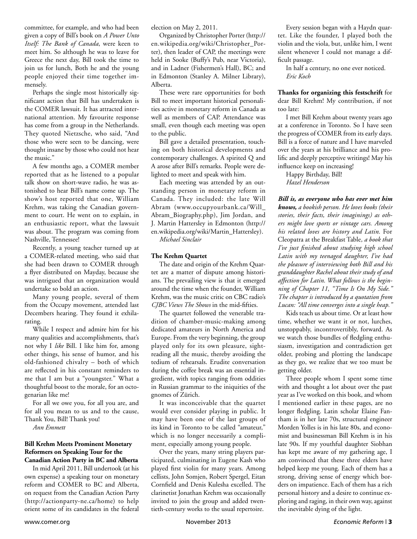committee, for example, and who had been given a copy of Bill's book on *A Power Unto Itself: The Bank of Canada*, were keen to meet him. So although he was to leave for Greece the next day, Bill took the time to join us for lunch, Both he and the young people enjoyed their time together immensely.

Perhaps the single most historically significant action that Bill has undertaken is the COMER lawsuit. It has attracted international attention. My favourite response has come from a group in the Netherlands. They quoted Nietzsche, who said, "And those who were seen to be dancing, were thought insane by those who could not hear the music."

A few months ago, a COMER member reported that as he listened to a popular talk show on short-wave radio, he was astonished to hear Bill's name come up. The show's host reported that one, William Krehm, was taking the Canadian government to court. He went on to explain, in an enthusiastic report, what the lawsuit was about. The program was coming from Nashville, Tennessee!

Recently, a young teacher turned up at a COMER-related meeting, who said that she had been drawn to COMER through a flyer distributed on Mayday, because she was intrigued that an organization would undertake so bold an action.

Many young people, several of them from the Occupy movement, attended last Decembers hearing. They found it exhilarating.

While I respect and admire him for his many qualities and accomplishments, that's not why I *like* Bill. I like him for, among other things, his sense of humor, and his old-fashioned chivalry – both of which are reflected in his constant reminders to me that I am but a "youngster." What a thoughtful boost to the morale, for an octogenarian like me!

For all we owe you, for all you are, and for all you mean to us and to the cause, Thank You, Bill! Thank you!

*Ann Emmett*

#### **Bill Krehm Meets Prominent Monetary Reformers on Speaking Tour for the Canadian Action Party in BC and Alberta**

In mid April 2011, Bill undertook (at his own expense) a speaking tour on monetary reform and COMER to BC and Alberta, on request from the Canadian Action Party (http://actionparty-ne.ca/home) to help orient some of its candidates in the federal

election on May 2, 2011.

Organized by Christopher Porter (http:// en.wikipedia.org/wiki/Christopher\_Porter), then leader of CAP, the meetings were held in Sooke (Buffy's Pub, near Victoria), and in Ladner (Fishermen's Hall), BC; and in Edmonton (Stanley A. Milner Library), Alberta.

These were rare opportunities for both Bill to meet important historical personalities active in monetary reform in Canada as well as members of CAP. Attendance was small, even though each meeting was open to the public.

Bill gave a detailed presentation, touching on both historical developments and contemporary challenges. A spirited Q and A arose after Bill's remarks. People were delighted to meet and speak with him.

Each meeting was attended by an outstanding person in monetary reform in Canada. They included: the late Will Abram (www.occupyourbank.ca/Will\_ Abram\_Biography.php), Jim Jordan, and J. Martin Hattersley in Edmonton (http:// en.wikipedia.org/wiki/Martin\_Hattersley). *Michael Sinclair*

#### **The Krehm Quartet**

The date and origin of the Krehm Quartet are a matter of dispute among historians. The prevailing view is that it emerged around the time when the founder, William Krehm, was the music critic on CBC radio's *CJBC Views The Shows* in the mid-fifties.

The quartet followed the venerable tradition of chamber-music-making among dedicated amateurs in North America and Europe. From the very beginning, the group played only for its own pleasure, sightreading all the music, thereby avoiding the tedium of rehearsals. Erudite conversation during the coffee break was an essential ingredient, with topics ranging from oddities in Russian grammar to the iniquities of the gnomes of Zürich.

It was inconceivable that the quartet would ever consider playing in public. It may have been one of the last groups of its kind in Toronto to be called "amateur," which is no longer necessarily a compliment, especially among young people.

Over the years, many string players participated, culminating in Eugene Kash who played first violin for many years. Among cellists, John Somjen, Robert Spergel, Eitan Cornfield and Denis Kulesha excelled. The clarinetist Jonathan Krehm was occasionally invited to join the group and added twentieth-century works to the usual repertoire.

Every session began with a Haydn quartet. Like the founder, I played both the violin and the viola, but, unlike him, I went silent whenever I could not manage a difficult passage.

In half a century, no one ever noticed. *Eric Koch*

**Thanks for organizing this festschrift** for dear Bill Krehm! My contribution, if not too late:

I met Bill Krehm about twenty years ago at a conference in Toronto. So I have seen the progress of COMER from its early days. Bill is a force of nature and I have marveled over the years at his brilliance and his prolific and deeply perceptive writings! May his influence keep on increasing!

Happy Birthday, Bill! *Hazel Henderson*

*Bill is, as everyone who has ever met him knows, a bookish person. He loves books (their stories, their facts, their imaginings) as others might love sports or vintage cars. Among his related loves are history and Latin.* For Cleopatra at the Breakfast Table*, a book that I've just finished about studying high school Latin with my teenaged daughter, I've had the pleasure of interviewing both Bill and his granddaughter Rachel about their study of and affection for Latin. What follows is the beginning of Chapter 11, "Time Is On My Side." The chapter is introduced by a quotation from Lucan: "All time converges into a single heap."*

Kids teach us about time. Or at least how time, whether we want it or not, lurches, unstoppably, incontrovertibly, forward. As we watch those bundles of fledgling enthusiasm, investigation and contradiction get older, probing and plotting the landscape as they go, we realize that we too must be getting older.

Three people whom I spent some time with and thought a lot about over the past year as I've worked on this book, and whom I mentioned earlier in these pages, are no longer fledgling. Latin scholar Elaine Fantham is in her late 70s, structural engineer Morden Yolles is in his late 80s, and economist and businessman Bill Krehm is in his late 90s. If my youthful daughter Siobhan has kept me aware of my gathering age, I am convinced that these three elders have helped keep me young. Each of them has a strong, driving sense of energy which borders on impatience. Each of them has a rich personal history and a desire to continue exploring and raging, in their own way, against the inevitable dying of the light.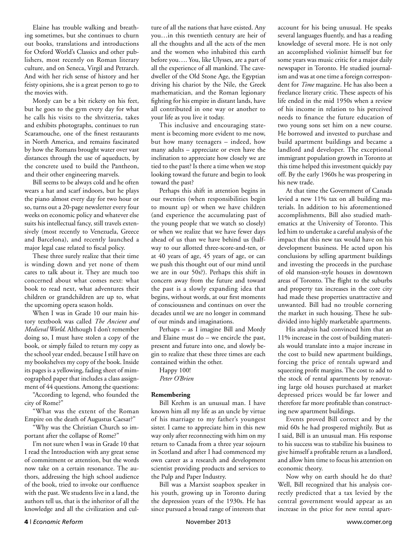Elaine has trouble walking and breathing sometimes, but she continues to churn out books, translations and introductions for Oxford World's Classics and other publishers, most recently on Roman literary culture, and on Seneca, Virgil and Petrarch. And with her rich sense of history and her feisty opinions, she is a great person to go to the movies with.

Mordy can be a bit rickety on his feet, but he goes to the gym every day for what he calls his visits to the shvitzeria, takes and exhibits photographs, continues to run Scaramouche, one of the finest restaurants in North America, and remains fascinated by how the Romans brought water over vast distances through the use of aqueducts, by the concrete used to build the Pantheon, and their other engineering marvels.

Bill seems to be always cold and he often wears a hat and scarf indoors, but he plays the piano almost every day for two hour or so, turns out a 20-page newsletter every four weeks on economic policy and whatever else suits his intellectual fancy, still travels extensively (most recently to Venezuela, Greece and Barcelona), and recently launched a major legal case related to fiscal policy.

These three surely realize that their time is winding down and yet none of them cares to talk about it. They are much too concerned about what comes next: what book to read next, what adventures their children or grandchildren are up to, what the upcoming opera season holds.

When I was in Grade 10 our main history textbook was called *The Ancient and Medieval World*. Although I don't remember doing so, I must have stolen a copy of the book, or simply failed to return my copy as the school year ended, because I still have on my bookshelves my copy of the book. Inside its pages is a yellowing, fading sheet of mimeographed paper that includes a class assignment of 44 questions. Among the questions:

"According to legend, who founded the city of Rome?"

"What was the extent of the Roman Empire on the death of Augustus Caesar?"

"Why was the Christian Church so important after the collapse of Rome?"

I'm not sure when I was in Grade 10 that I read the Introduction with any great sense of commitment or attention, but the words now take on a certain resonance. The authors, addressing the high school audience of the book, tried to invoke our confluence with the past. We students live in a land, the authors tell us, that is the inheritor of all the knowledge and all the civilization and cul-

ture of all the nations that have existed. Any you…in this twentieth century are heir of all the thoughts and all the acts of the men and the women who inhabited this earth before you…. You, like Ulysses, are a part of all the experience of all mankind. The cavedweller of the Old Stone Age, the Egyptian driving his chariot by the Nile, the Greek mathematician, and the Roman legionary fighting for his empire in distant lands, have all contributed in one way or another to your life as you live it today.

This inclusive and encouraging statement is becoming more evident to me now, but how many teenagers – indeed, how many adults – appreciate or even have the inclination to appreciate how closely we are tied to the past? Is there a time when we stop looking toward the future and begin to look toward the past?

Perhaps this shift in attention begins in our twenties (when responsibilities begin to mount up) or when we have children (and experience the accumulating past of the young people that we watch so closely) or when we realize that we have fewer days ahead of us than we have behind us (halfway to our allotted three-score-and-ten, or at 40 years of age, 45 years of age, or can we push this thought out of our mind until we are in our 50s?). Perhaps this shift in concern away from the future and toward the past is a slowly expanding idea that begins, without words, at our first moments of consciousness and continues on over the decades until we are no longer in command of our minds and imaginations.

Perhaps – as I imagine Bill and Mordy and Elaine must do – we encircle the past, present and future into one, and slowly begin to realize that these three times are each contained within the other.

Happy 100! *Peter O'Brien*

**Remembering** Bill Krehm is an unusual man. I have known him all my life as an uncle by virtue of his marriage to my father's youngest sister. I came to appreciate him in this new

way only after reconnecting with him on my return to Canada from a three year sojourn in Scotland and after I had commenced my own career as a research and development scientist providing products and services to the Pulp and Paper Industry.

Bill was a Marxist soapbox speaker in his youth, growing up in Toronto during the depression years of the 1930s. He has since pursued a broad range of interests that account for his being unusual. He speaks several languages fluently, and has a reading knowledge of several more. He is not only an accomplished violinist himself but for some years was music critic for a major daily newspaper in Toronto. He studied journalism and was at one time a foreign correspondent for *Time* magazine. He has also been a freelance literary critic. These aspects of his life ended in the mid 1950s when a review of his income in relation to his perceived needs to finance the future education of two young sons set him on a new course. He borrowed and invested to purchase and build apartment buildings and became a landlord and developer. The exceptional immigrant population growth in Toronto at this time helped this investment quickly pay off. By the early 1960s he was prospering in his new trade.

At that time the Government of Canada levied a new 11% tax on all building materials. In addition to his aforementioned accomplishments, Bill also studied mathematics at the University of Toronto. This led him to undertake a careful analysis of the impact that this new tax would have on his development business. He acted upon his conclusions by selling apartment buildings and investing the proceeds in the purchase of old mansion-style houses in downtown areas of Toronto. The flight to the suburbs and property tax increases in the core city had made these properties unattractive and unwanted. Bill had no trouble cornering the market in such housing. These he subdivided into highly marketable apartments.

His analysis had convinced him that an 11% increase in the cost of building materials would translate into a major increase in the cost to build new apartment buildings, forcing the price of rentals upward and squeezing profit margins. The cost to add to the stock of rental apartments by renovating large old houses purchased at market depressed prices would be far lower and therefore far more profitable than constructing new apartment buildings.

Events proved Bill correct and by the mid 60s he had prospered mightily. But as I said, Bill is an unusual man. His response to his success was to stabilize his business to give himself a profitable return as a landlord, and allow him time to focus his attention on economic theory.

Now why on earth should he do that? Well, Bill recognized that his analysis correctly predicted that a tax levied by the central government would appear as an increase in the price for new rental apart-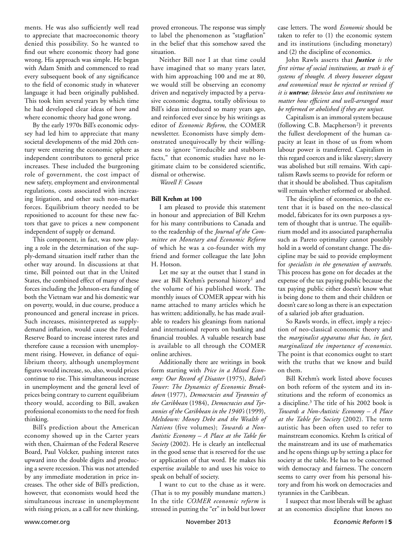ments. He was also sufficiently well read to appreciate that macroeconomic theory denied this possibility. So he wanted to find out where economic theory had gone wrong. His approach was simple. He began with Adam Smith and commenced to read every subsequent book of any significance to the field of economic study in whatever language it had been originally published. This took him several years by which time he had developed clear ideas of how and where economic theory had gone wrong.

By the early 1970s Bill's economic odyssey had led him to appreciate that many societal developments of the mid 20th century were entering the economic sphere as independent contributors to general price increases. These included the burgeoning role of government, the cost impact of new safety, employment and environmental regulations, costs associated with increasing litigation, and other such non-market forces. Equilibrium theory needed to be repositioned to account for these new factors that gave to prices a new component independent of supply or demand.

This component, in fact, was now playing a role in the determination of the supply-demand situation itself rather than the other way around. In discussions at that time, Bill pointed out that in the United States, the combined effect of many of these forces including the Johnson-era funding of both the Vietnam war and his domestic war on poverty, would, in due course, produce a pronounced and general increase in prices. Such increases, misinterpreted as supplydemand inflation, would cause the Federal Reserve Board to increase interest rates and therefore cause a recession with unemployment rising. However, in defiance of equilibrium theory, although unemployment figures would increase, so, also, would prices continue to rise. This simultaneous increase in unemployment and the general level of prices being contrary to current equilibrium theory would, according to Bill, awaken professional economists to the need for fresh thinking.

Bill's prediction about the American economy showed up in the Carter years with then, Chairman of the Federal Reserve Board, Paul Volcker, pushing interest rates upward into the double digits and producing a severe recession. This was not attended by any immediate moderation in price increases. The other side of Bill's prediction, however, that economists would heed the simultaneous increase in unemployment with rising prices, as a call for new thinking,

proved erroneous. The response was simply to label the phenomenon as "stagflation" in the belief that this somehow saved the situation.

Neither Bill nor I at that time could have imagined that so many years later, with him approaching 100 and me at 80, we would still be observing an economy driven and negatively impacted by a pervasive economic dogma, totally oblivious to Bill's ideas introduced so many years ago, and reinforced ever since by his writings as editor of *Economic Reform*, the COMER newsletter. Economists have simply demonstrated unequivocally by their willingness to ignore "irreducible and stubborn facts," that economic studies have no legitimate claim to be considered scientific, dismal or otherwise.

*Wavell F. Cowan*

#### **Bill Krehm at 100**

I am pleased to provide this statement in honour and appreciation of Bill Krehm for his many contributions to Canada and to the readership of the *Journal of the Committee on Monetary and Economic Reform* of which he was a co-founder with my friend and former colleague the late John H. Hotson.

Let me say at the outset that I stand in awe at Bill Krehm's personal history<sup>1</sup> and the volume of his published work. The monthly issues of COMER appear with his name attached to many articles which he has written; additionally, he has made available to readers his gleanings from national and international reports on banking and financial troubles. A valuable research base is available to all through the COMER online archives.

Additionally there are writings in book form starting with *Price in a Mixed Economy: Our Record of Disaster* (1975), *Babel's Tower: The Dynamics of Economic Breakdown* (1977), *Democracies and Tyrannies of the Caribbean* (1984), *Democracies and Tyrannies of the Caribbean in the 1940's* (1999), *Meltdown: Money Debt and the Wealth of Nations* (five volumes); *Towards a Non-Autistic Economy – A Place at the Table for Society* (2002). He is clearly an intellectual in the good sense that is reserved for the use or application of that word. He makes his expertise available to and uses his voice to speak on behalf of society.

I want to cut to the chase as it were. (That is to my possibly mundane matters.) In the title *COMER economic reform* is stressed in putting the "er" in bold but lower case letters. The word *Economic* should be taken to refer to (1) the economic system and its institutions (including monetary) and (2) the discipline of economics.

John Rawls asserts that *Justice is the first virtue of social institutions, as truth is of systems of thought. A theory however elegant and economical must be rejected or revised if it is untrue; likewise laws and institutions no matter how efficient and well-arranged must be reformed or abolished if they are unjust*.

Capitalism is an immoral system because (following C.B. Macpherson2) it prevents the fullest development of the human capacity at least in those of us from whom labour power is transferred. Capitalism in this regard coerces and is like slavery; slavery was abolished but still remains. With capitalism Rawls seems to provide for reform or that it should be abolished. Thus capitalism will remain whether reformed or abolished.

The discipline of economics, to the extent that it is based on the neo-classical model, fabricates for its own purposes a system of thought that is untrue. The equilibrium model and its associated paraphernalia such as Pareto optimality cannot possibly hold in a world of constant change. The discipline may be said to provide employment for *specialists in the generation of untruths*. This process has gone on for decades at the expense of the tax paying public because the tax paying public either doesn't know what is being done to them and their children or doesn't care so long as there is an expectation of a salaried job after graduation.

So Rawls words, in effect, imply a rejection of neo-classical economic theory and the *marginalist apparatus that has, in fact, marginalized the importance of economics*. The point is that economics ought to start with the truths that we know and build on them.

Bill Krehm's work listed above focuses on both reform of the system and its institutions and the reform of economics as a discipline.3 The title of his 2002 book is *Towards a Non-Autistic Economy – A Place at the Table for Society* (2002). The term autistic has been often used to refer to mainstream economics. Krehm Is critical of the mainstream and its use of mathematics and he opens things up by setting a place for society at the table. He has to be concerned with democracy and fairness. The concern seems to carry over from his personal history and from his work on democracies and tyrannies in the Caribbean.

I suspect that most liberals will be aghast at an economics discipline that knows no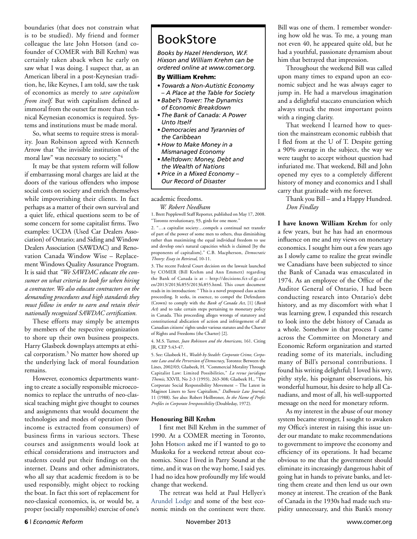boundaries (that does not constrain what is to be studied). My friend and former colleague the late John Hotson (and cofounder of COMER with Bill Krehm) was certainly taken aback when he early on saw what I was doing. I suspect that, as an American liberal in a post-Keynesian tradition, he, like Keynes, I am told, saw the task of economics as merely to *save capitalism from itself*. But with capitalism defined as immoral from the outset far more than technical Keynesian economics is required. Systems and institutions must be made moral.

So, what seems to require stress is morality. Joan Robinson agreed with Kenneth Arrow that "the invisible institution of the moral law" was necessary to society."4

It may be that system reform will follow if embarrassing moral charges are laid at the doors of the various offenders who impose social costs on society and enrich themselves while impoverishing their clients. In fact perhaps as a matter of their own survival and a quiet life, ethical questions seem to be of some concern for some capitalist firms. Two examples: UCDA (Used Car Dealers Association) of Ontario; and Siding and Window Dealers Association (SAWDAC) and Renovation Canada Window Wise – Replacement Windows Quality Assurance Program. It is said that *"We SAWDAC educate the consumer on what criteria to look for when hiring a contractor. We also educate contractors on the demanding procedures and high standards they must follow in order to earn and retain their nationally recognized SAWDAC certification.*

These efforts may simply be attempts by members of the respective organization to shore up their own business prospects. Harry Glasbeek downplays attempts at ethical corporatism.5 No matter how shored up the underlying lack of moral foundation remains.

However, economics departments wanting to create a socially responsible microeconomics to replace the untruths of neo-classical teaching might give thought to courses and assignments that would document the technologies and modes of operation (how income is extracted from consumers) of business firms in various sectors. These courses and assignments would look at ethical considerations and instructors and students could put their findings on the internet. Deans and other administrators, who all say that academic freedom is to be used responsibly, might object to rocking the boat. In fact this sort of replacement for neo-classical economics, is, or would be, a proper (socially responsible) exercise of one's

### BookStore

*Books by Hazel Henderson, W.F. Hixson and William Krehm can be ordered online at www.comer.org.*

#### By William Krehm:

- *Towards a Non-Autistic Economy*
- *A Place at the Table for Society* • *Babel's Tower: The Dynamics*
- *of Economic Breakdown*
- *The Bank of Canada: A Power Unto Itself*
- *Democracies and Tyrannies of the Caribbean*
- *How to Make Money in a Mismanaged Economy*
- *Meltdown: Money, Debt and the Wealth of Nations*
- *Price in a Mixed Economy Our Record of Disaster*

academic freedoms.

#### *W. Robert Needham*

1. Brett Popplewell Staff Reporter, published on May 17, 2008. "Toronto revolutionary, 93, girds for one more."

2. "…a capitalist society…compels a continual net transfer of part of the power of some men to others, thus diminishing rather than maximizing the equal individual freedom to use and develop one's natural capacities which is claimed [by the proponents of capitalism]." C.B. Macpherson, *Democratic Theory: Essay in Retrieval*, 10-11.

3. The recent Federal Court decision on the lawsuit launched by COMER (Bill Krehm and Ann Emmett) regarding the Bank of Canada is at – http://decisions.fct-cf.gc.ca/ en/2013/2013fc855/2013fc855.html. This court document reads in its introduction: " This is a novel proposed class action proceeding. It seeks, in essence, to compel the Defendants (Crown) to comply with the *Bank of Canada Act*, [1] (*Bank Act*) and to take certain steps pertaining to monetary policy in Canada. This proceeding alleges wrongs of statutory and constitutional abdication of action and infringement of all Canadian citizens' rights under various statutes and the Charter of Rights and Freedoms (the Charter) [2].

4. M.S. Turner, *Joan Robinson and the Americans*, 161. Citing JR, CEP 5:43-47.

5. See: Glasbeek H., *Wealth by Stealth: Corporate Crime, Corporate Law and the Perversion of Democracy*, Toronto: Between the Lines, 2002/03; Glasbeek, H. "Commercial Morality Through Capitalist Law: Limited Possibilities," *La revue juridique Themis*, XXVII, No 2-3 (1993), 263-308; Glasbeek H., "The Corporate Social Responsibility Movement – The Latest in Maginot Liners to Save Capitalism," *Dalhousie Law Journal*, 11 (1988). See also: Robert Heilbroner, *In the Name of Profit: Profiles in Corporate Irresponsibility* (Doubleday, 1972).

#### **Honouring Bill Krehm**

I first met Bill Krehm in the summer of 1990. At a COMER meeting in Toronto, John Hotson asked me if I wanted to go to Muskoka for a weekend retreat about economics. Since I lived in Parry Sound at the time, and it was on the way home, I said yes. I had no idea how profoundly my life would change that weekend.

The retreat was held at Paul Hellyer's Arundel Lodge and some of the best economic minds on the continent were there. Bill was one of them. I remember wondering how old he was. To me, a young man not even 40, he appeared quite old, but he had a youthful, passionate dynamism about him that betrayed that impression.

Throughout the weekend Bill was called upon many times to expand upon an economic subject and he was always eager to jump in. He had a marvelous imagination and a delightful staccato enunciation which always struck the most important points with a ringing clarity.

That weekend I learned how to question the mainstream economic rubbish that I fled from at the U of T. Despite getting a 90% average in the subject, the way we were taught to accept without question had infuriated me. That weekend, Bill and John opened my eyes to a completely different history of money and economics and I shall carry that gratitude with me forever.

Thank you Bill – and a Happy Hundred. *Don Findlay*

**I have known William Krehm** for only a few years, but he has had an enormous influence on me and my views on monetary economics. I sought him out a few years ago as I slowly came to realize the great swindle we Canadians have been subjected to since the Bank of Canada was emasculated in 1974. As an employee of the Office of the Auditor General of Ontario, I had been conducting research into Ontario's debt history, and as my discomfort with what I was learning grew, I expanded this research to look into the debt history of Canada as a whole. Somehow in that process I came across the Committee on Monetary and Economic Reform organization and started reading some of its materials, including many of Bill's personal contributions. I found his writing delightful; I loved his wry, pithy style, his poignant observations, his wonderful humour, his desire to help all Canadians, and most of all, his well-supported message on the need for monetary reform.

As my interest in the abuse of our money system became stronger, I sought to awaken my Office's interest in raising this issue under our mandate to make recommendations to government to improve the economy and efficiency of its operations. It had became obvious to me that the government should eliminate its increasingly dangerous habit of going hat in hands to private banks, and letting them create and then lend us our own money at interest. The creation of the Bank of Canada in the 1930s had made such stupidity unnecessary, and this Bank's money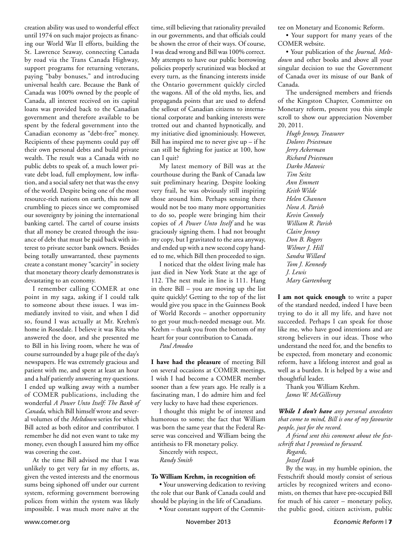creation ability was used to wonderful effect until 1974 on such major projects as financing our World War II efforts, building the St. Lawrence Seaway, connecting Canada by road via the Trans Canada Highway, support programs for returning veterans, paying "baby bonuses," and introducing universal health care. Because the Bank of Canada was 100% owned by the people of Canada, all interest received on its capital loans was provided back to the Canadian government and therefore available to be spent by the federal government into the Canadian economy as "debt-free" money. Recipients of these payments could pay off their own personal debts and build private wealth. The result was a Canada with no public debts to speak of, a much lower private debt load, full employment, low inflation, and a social safety net that was the envy of the world. Despite being one of the most resource-rich nations on earth, this now all crumbling to pieces since we compromised our sovereignty by joining the international banking cartel. The cartel of course insists that all money be created through the issuance of debt that must be paid back with interest to private sector bank owners. Besides being totally unwarranted, these payments create a constant money "scarcity" in society that monetary theory clearly demonstrates is devastating to an economy.

I remember calling COMER at one point in my saga, asking if I could talk to someone about these issues. I was immediately invited to visit, and when I did so, found I was actually at Mr. Krehm's home in Rosedale. I believe it was Rita who answered the door, and she presented me to Bill in his living room, where he was of course surrounded by a huge pile of the day's newspapers. He was extremely gracious and patient with me, and spent at least an hour and a half patiently answering my questions. I ended up walking away with a number of COMER publications, including the wonderful *A Power Unto Itself: The Bank of Canada*, which Bill himself wrote and several volumes of the *Meltdown* series for which Bill acted as both editor and contributor. I remember he did not even want to take my money, even though I assured him my office was covering the cost.

At the time Bill advised me that I was unlikely to get very far in my efforts, as, given the vested interests and the enormous sums being siphoned off under our current system, reforming government borrowing polices from within the system was likely impossible. I was much more naïve at the time, still believing that rationality prevailed in our governments, and that officials could be shown the error of their ways. Of course, I was dead wrong and Bill was 100% correct. My attempts to have our public borrowing policies properly scrutinized was blocked at every turn, as the financing interests inside the Ontario government quickly circled the wagons. All of the old myths, lies, and propaganda points that are used to defend the sellout of Canadian citizens to international corporate and banking interests were trotted out and chanted hypnotically, and my initiative died ignominiously. However, Bill has inspired me to never give  $up$  – if he can still be fighting for justice at 100, how can I quit?

My latest memory of Bill was at the courthouse during the Bank of Canada law suit preliminary hearing. Despite looking very frail, he was obviously still inspiring those around him. Perhaps sensing there would not be too many more opportunities to do so, people were bringing him their copies of *A Power Unto Itself* and he was graciously signing them. I had not brought my copy, but I gravitated to the area anyway, and ended up with a new second copy handed to me, which Bill then proceeded to sign.

I noticed that the oldest living male has just died in New York State at the age of 112. The next male in line is 111. Hang in there Bill – you are moving up the list quite quickly! Getting to the top of the list would give you space in the Guinness Book of World Records – another opportunity to get your much-needed message out. Mr. Krehm – thank you from the bottom of my heart for your contribution to Canada.

*Paul Amodeo*

**I have had the pleasure** of meeting Bill on several occasions at COMER meetings, I wish I had become a COMER member sooner than a few years ago. He really is a fascinating man, I do admire him and feel very lucky to have had these experiences.

I thought this might be of interest and humorous to some; the fact that William was born the same year that the Federal Reserve was conceived and William being the antithesis to FR monetary policy.

Sincerely with respect,

*Randy Smith*

#### **To William Krehm, in recognition of:**

• Your unswerving dedication to reviving the role that our Bank of Canada could and should be playing in the life of Canadians.

• Your constant support of the Commit-

tee on Monetary and Economic Reform.

• Your support for many years of the COMER website.

• Your publication of the *Journal*, *Meltdown* and other books and above all your singular decision to sue the Government of Canada over its misuse of our Bank of Canada.

The undersigned members and friends of the Kingston Chapter, Committee on Monetary reform, present you this simple scroll to show our appreciation November 20, 2011.

*Hugh Jenney, Treasurer Dolores Priestman Jerry Ackerman Richard Priestman Darko Matovic Tim Seitz Ann Emmett Keith Wilde Helen Channen Nora A. Parish Kevin Connoly William R. Parish Claire Jenney Don B. Rogers Wilmer J. Hill Sandra Willard Tom J. Kennedy J. Lewis Mary Gartenburg*

**I am not quick enough** to write a paper of the standard needed, indeed I have been trying to do it all my life, and have not succeeded. Perhaps I can speak for those like me, who have good intentions and are strong believers in our ideas. Those who understand the need for, and the benefits to be expected, from monetary and economic reform, have a lifelong interest and goal as well as a burden. It is helped by a wise and thoughtful leader.

Thank you William Krehm. *James W. McGillivray*

*While I don't have any personal anecdotes that come to mind, Bill is one of my favourite people, just for the record.*

*A friend sent this comment about the festschrift that I promised to forward.*

*Regards,*

*Jozsef Izsak*

By the way, in my humble opinion, the Festschrift should mostly consist of serious articles by recognized writers and economists, on themes that have pre-occupied Bill for much of his career – monetary policy, the public good, citizen activism, public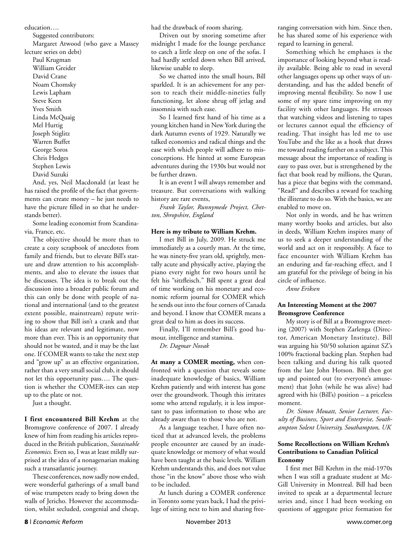education….

Suggested contributors:

Margaret Atwood (who gave a Massey

lecture series on debt) Paul Krugman William Greider David Crane Noam Chomsky Lewis Lapham Steve Keen Yves Smith Linda McQuaig Mel Hurtig Joseph Stiglitz Warren Buffet George Soros Chris Hedges Stephen Lewis David Suzuki

And, yes, Neil Macdonald (at least he has raised the profile of the fact that governments can create money – he just needs to have the picture filled in so that he understands better).

Some leading economist from Scandinavia, France, etc.

The objective should be more than to create a cozy scrapbook of anecdotes from family and friends, but to elevate Bill's stature and draw attention to his accomplishments, and also to elevate the issues that he discusses. The idea is to break out the discussion into a broader public forum and this can only be done with people of national and international (and to the greatest extent possible, mainstream) repute writing to show that Bill isn't a crank and that his ideas are relevant and legitimate, now more than ever. This is an opportunity that should not be wasted, and it may be the last one. If COMER wants to take the next step and "grow up" as an effective organization, rather than a very small social club, it should not let this opportunity pass…. The question is whether the COMER-ites can step up to the plate or not.

Just a thought.

**I first encountered Bill Krehm** at the Bromsgrove conference of 2007. I already knew of him from reading his articles reproduced in the British publication, *Sustainable Economics*. Even so, I was at least mildly surprised at the idea of a nonagenarian making such a transatlantic journey.

These conferences, now sadly now ended, were wonderful gatherings of a small band of wise trumpeters ready to bring down the walls of Jericho. However the accommodation, whilst secluded, congenial and cheap,

had the drawback of room sharing.

Driven out by snoring sometime after midnight I made for the lounge perchance to catch a little sleep on one of the sofas. I had hardly settled down when Bill arrived, likewise unable to sleep.

So we chatted into the small hours, Bill sparkled. It is an achievement for any person to reach their middle-nineties fully functioning, let alone shrug off jetlag and insomnia with such ease.

So I learned first hand of his time as a young kitchen hand in New York during the dark Autumn events of 1929. Naturally we talked economics and radical things and the ease with which people will adhere to misconceptions. He hinted at some European adventures during the 1930s but would not be further drawn.

It is an event I will always remember and treasure. But conversations with walking history are rare events,

*Frank Taylor, Runnymede Project, Chetton, Shropshire, England*

#### **Here is my tribute to William Krehm.**

I met Bill in July, 2009. He struck me immediately as a courtly man. At the time, he was ninety-five years old, sprightly, mentally acute and physically active, playing the piano every night for two hours until he felt his "sitzfleisch." Bill spent a great deal of time working on his monetary and economic reform journal for COMER which he sends out into the four corners of Canada and beyond. I know that COMER means a great deal to him as does its success.

Finally, I'll remember Bill's good humour, intelligence and stamina.

*Dr. Dagmar Novak*

**At many a COMER meeting,** when confronted with a question that reveals some inadequate knowledge of basics, William Krehm patiently and with interest has gone over the groundwork. Though this irritates some who attend regularly, it is less important to pass information to those who are already aware than to those who are not.

As a language teacher, I have often noticed that at advanced levels, the problems people encounter are caused by an inadequate knowledge or memory of what would have been taught at the basic levels. William Krehm understands this, and does not value those "in the know" above those who wish to be included.

At lunch during a COMER conference in Toronto some years back, I had the privilege of sitting next to him and sharing freeranging conversation with him. Since then, he has shared some of his experience with regard to learning in general.

Something which he emphases is the importance of looking beyond what is readily available. Being able to read in several other languages opens up other ways of understanding, and has the added benefit of improving mental flexibility. So now I use some of my spare time improving on my facility with other languages. He stresses that watching videos and listening to tapes or lectures cannot equal the efficiency of reading. That insight has led me to use YouTube and the like as a hook that draws me toward reading further on a subject. This message about the importance of reading is easy to pass over, but is strengthened by the fact that book read by millions, the Quran, has a piece that begins with the command, "Read!" and describes a reward for teaching the illiterate to do so. With the basics, we are enabled to move on.

Not only in words, and he has written many worthy books and articles, but also in deeds, William Krehm inspires many of us to seek a deeper understanding of the world and act on it responsibly. A face to face encounter with William Krehm has an enduring and far-reaching effect, and I am grateful for the privilege of being in his circle of influence.

*Anne Eriksen*

#### **An Interesting Moment at the 2007 Bromsgrove Conference**

My story is of Bill at a Bromsgrove meeting (2007) with Stephen Zarlenga (Director, American Monetary Institute). Bill was arguing his 50/50 solution against SZ's 100% fractional backing plan. Stephen had been talking and during his talk quoted from the late John Hotson. Bill then got up and pointed out (to everyone's amusement) that John (while he was alive) had agreed with his (Bill's) position – a priceless moment.

*Dr. Simon Mouatt, Senior Lecturer, Faculty of Business, Sport and Enterprise, Southampton Solent University, Southampton, UK*

#### **Some Recollections on William Krehm's Contributions to Canadian Political Economy**

I first met Bill Krehm in the mid-1970s when I was still a graduate student at Mc-Gill University in Montreal. Bill had been invited to speak at a departmental lecture series and, since I had been working on questions of aggregate price formation for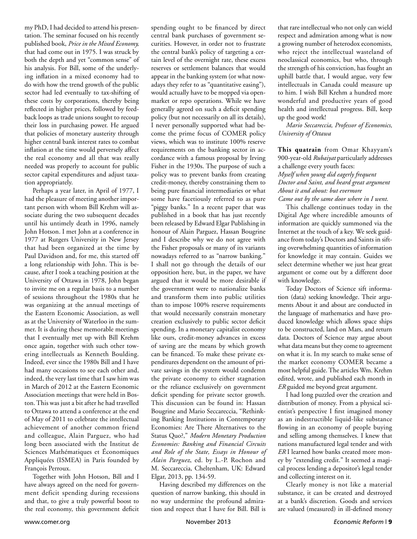my PhD, I had decided to attend his presentation. The seminar focused on his recently published book, *Price in the Mixed Economy,* that had come out in 1975. I was struck by both the depth and yet "common sense" of his analysis. For Bill, some of the underlying inflation in a mixed economy had to do with how the trend growth of the public sector had led eventually to tax-shifting of these costs by corporations, thereby being reflected in higher prices, followed by feedback loops as trade unions sought to recoup their loss in purchasing power. He argued that policies of monetary austerity through higher central bank interest rates to combat inflation at the time would perversely affect the real economy and all that was really needed was properly to account for public sector capital expenditures and adjust taxation appropriately.

Perhaps a year later, in April of 1977, I had the pleasure of meeting another important person with whom Bill Krehm will associate during the two subsequent decades until his untimely death in 1996, namely John Hotson. I met John at a conference in 1977 at Rutgers University in New Jersey that had been organized at the time by Paul Davidson and, for me, this started off a long relationship with John. This is because, after I took a teaching position at the University of Ottawa in 1978, John began to invite me on a regular basis to a number of sessions throughout the 1980s that he was organizing at the annual meetings of the Eastern Economic Association, as well as at the University of Waterloo in the summer. It is during these memorable meetings that I eventually met up with Bill Krehm once again, together with such other towering intellectuals as Kenneth Boulding. Indeed, ever since the 1980s Bill and I have had many occasions to see each other and, indeed, the very last time that I saw him was in March of 2012 at the Eastern Economic Association meetings that were held in Boston. This was just a bit after he had travelled to Ottawa to attend a conference at the end of May of 2011 to celebrate the intellectual achievement of another common friend and colleague, Alain Parguez, who had long been associated with the Institut de Sciences Mathématiques et Économiques Appliquées (ISMEA) in Paris founded by François Perroux.

Together with John Hotson, Bill and I have always agreed on the need for government deficit spending during recessions and that, to give a truly powerful boost to the real economy, this government deficit

spending ought to be financed by direct central bank purchases of government securities. However, in order not to frustrate the central bank's policy of targeting a certain level of the overnight rate, these excess reserves or settlement balances that would appear in the banking system (or what nowadays they refer to as "quantitative easing"), would actually have to be mopped via openmarket or repo operations. While we have generally agreed on such a deficit spending policy (but not necessarily on all its details), I never personally supported what had become the prime focus of COMER policy views, which was to institute 100% reserve requirements on the banking sector in accordance with a famous proposal by Irving Fisher in the 1930s. The purpose of such a policy was to prevent banks from creating credit-money, thereby constraining them to being pure financial intermediaries or what some have facetiously referred to as pure "piggy banks." In a recent paper that was published in a book that has just recently been released by Edward Elgar Publishing in honour of Alain Parguez, Hassan Bougrine and I describe why we do not agree with the Fisher proposals or many of its variants nowadays referred to as "narrow banking." I shall not go through the details of our opposition here, but, in the paper, we have argued that it would be more desirable if the government were to nationalize banks and transform them into public utilities than to impose 100% reserve requirements that would necessarily constrain monetary creation exclusively to public sector deficit spending. In a monetary capitalist economy like ours, credit-money advances in excess of saving are the means by which growth can be financed. To make these private expenditures dependent on the amount of private savings in the system would condemn the private economy to either stagnation or the reliance exclusively on government deficit spending for private sector growth. This discussion can be found in: Hassan Bougrine and Mario Seccareccia, "Rethinking Banking Institutions in Contemporary Economies: Are There Alternatives to the Status Quo?," *Modern Monetary Production Economies: Banking and Financial Circuits and Role of the State, Essays in Honour of Alain Parguez*, ed. by L.-P. Rochon and M. Seccareccia, Cheltenham, UK: Edward Elgar, 2013, pp. 134-59.

Having described my differences on the question of narrow banking, this should in no way undermine the profound admiration and respect that I have for Bill. Bill is that rare intellectual who not only can wield respect and admiration among what is now a growing number of heterodox economists, who reject the intellectual wasteland of neoclassical economics, but who, through the strength of his conviction, has fought an uphill battle that, I would argue, very few intellectuals in Canada could measure up to him. I wish Bill Krehm a hundred more wonderful and productive years of good health and intellectual progress. Bill, keep up the good work!

*Mario Seccareccia, Professor of Economics, University of Ottawa*

**This quatrain** from Omar Khayyam's 900-year-old *Rubaiyat* particularly addresses a challenge every youth faces: *Myself when young did eagerly frequent Doctor and Saint, and heard great argument About it and about: but evermore Came out by the same door where in I went.*

This challenge continues today in the Digital Age where incredible amounts of information are quickly summoned via the Internet at the touch of a key. We seek guidance from today's Doctors and Saints in sifting overwhelming quantities of information for knowledge it may contain. Guides we select determine whether we just hear great argument or come out by a different door with knowledge.

Today Doctors of Science sift information (data) seeking knowledge. Their arguments About it and about are conducted in the language of mathematics and have produced knowledge which allows space ships to be constructed, land on Mars, and return data. Doctors of Science may argue about what data means but they come to agreement on what it is. In my search to make sense of the market economy COMER became a most helpful guide. The articles Wm. Krehm edited, wrote, and published each month in *ER* guided me beyond great argument.

I had long puzzled over the creation and distribution of money. From a physical scientist's perspective I first imagined money as an indestructible liquid-like substance flowing in an economy of people buying and selling among themselves. I knew that nations manufactured legal tender and with *ER* I learned how banks created more money by "extending credit." It seemed a magical process lending a depositor's legal tender and collecting interest on it.

Clearly money is not like a material substance, it can be created and destroyed at a bank's discretion. Goods and services are valued (measured) in ill-defined money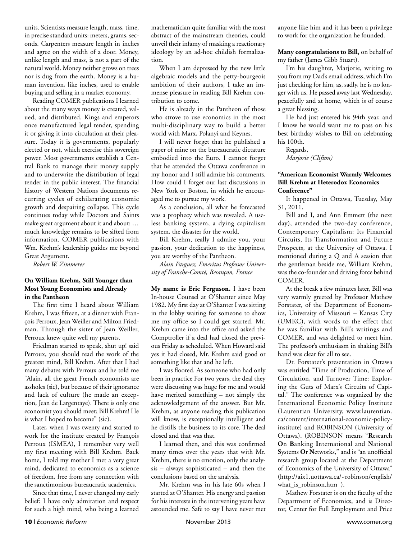units. Scientists measure length, mass, time, in precise standard units: meters, grams, seconds. Carpenters measure length in inches and agree on the width of a door. Money, unlike length and mass, is not a part of the natural world. Money neither grows on trees nor is dug from the earth. Money is a human invention, like inches, used to enable buying and selling in a market economy.

Reading COMER publications I learned about the many ways money is created, valued, and distributed. Kings and emperors once manufactured legal tender, spending it or giving it into circulation at their pleasure. Today it is governments, popularly elected or not, which exercise this sovereign power. Most governments establish a Central Bank to manage their money supply and to underwrite the distribution of legal tender in the public interest. The financial history of Western Nations documents recurring cycles of exhilarating economic growth and despairing collapse. This cycle continues today while Doctors and Saints make great argument about it and about: … much knowledge remains to be sifted from information. COMER publications with Wm. Krehm's leadership guides me beyond Great Argument.

*Robert W. Zimmerer*

#### **On William Krehm, Still Younger than Most Young Economists and Already in the Pantheon**

The first time I heard about William Krehm, I was fifteen, at a dinner with François Perroux, Jean Weiller and Milton Friedman. Through the sister of Jean Weiller, Perroux knew quite well my parents.

Friedman started to speak, shut up! said Perroux, you should read the work of the greatest mind, Bill Krehm. After that I had many debates with Perroux and he told me "Alain, all the great French economists are assholes (sic), but because of their ignorance and lack of culture (he made an exception, Jean de Largentaye). There is only one economist you should meet; Bill Krehm! He is what I hoped to become" (sic).

Later, when I was twenty and started to work for the institute created by François Perroux (ISMEA), I remember very well my first meeting with Bill Krehm. Back home, I told my mother I met a very great mind, dedicated to economics as a science of freedom, free from any connection with the sanctimonious bureaucratic academics.

Since that time, I never changed my early belief: I have only admiration and respect for such a high mind, who being a learned

mathematician quite familiar with the most abstract of the mainstream theories, could unveil their infamy of masking a reactionary ideology by an ad-hoc childish formalization.

When I am depressed by the new little algebraic models and the petty-bourgeois ambition of their authors, I take an immense pleasure in reading Bill Krehm contribution to come.

He is already in the Pantheon of those who strove to use economics in the most multi-disciplinary way to build a better world with Marx, Polanyi and Keynes.

I will never forget that he published a paper of mine on the bureaucratic dictature embodied into the Euro. I cannot forget that he attended the Ottawa conference in my honor and I still admire his comments. How could I forget our last discussions in New York or Boston, in which he encouraged me to pursue my work.

As a conclusion, all what he forecasted was a prophecy which was revealed. A useless banking system, a dying capitalism system, the disaster for the world.

Bill Krehm, really I admire you, your passion, your dedication to the happiness, you are worthy of the Pantheon.

*Alain Parguez, Emeritus Professor University of Franche-Comté, Besançon, France*

**My name is Eric Ferguson.** I have been In-house Counsel at O'Shanter since May 1982. My first day at O'Shanter I was sitting in the lobby waiting for someone to show me my office so I could get started. Mr. Krehm came into the office and asked the Comptroller if a deal had closed the previous Friday as scheduled. When Howard said yes it had closed, Mr. Krehm said good or something like that and he left.

I was floored. As someone who had only been in practice For two years, the deal they were discussing was huge for me and would have merited something – not simply the acknowledgement of the answer. But Mr. Krehm, as anyone reading this publication will know, is exceptionally intelligent and he distills the business to its core. The deal closed and that was that.

I learned then, and this was confirmed many times over the years that with Mr. Krehm, there is no emotion, only the analysis – always sophisticated – and then the conclusions based on the analysis.

Mr. Krehm was in his late 60s when I started at O'Shanter. His energy and passion for his interests in the intervening years have astounded me. Safe to say I have never met anyone like him and it has been a privilege to work for the organization he founded.

**Many congratulations to Bill,** on behalf of my father (James Gibb Stuart).

I'm his daughter, Marjorie, writing to you from my Dad's email address, which I'm just checking for him, as, sadly, he is no longer with us. He passed away last Wednesday, peacefully and at home, which is of course a great blessing.

He had just entered his 94th year, and I know he would want me to pass on his best birthday wishes to Bill on celebrating his 100th.

Regards, *Marjorie (Clifton)*

#### **"American Economist Warmly Welcomes Bill Krehm at Heterodox Economics Conference"**

It happened in Ottawa, Tuesday, May 31, 2011.

Bill and I, and Ann Emmett (the next day), attended the two-day conference, Contemporary Capitalism: Its Financial Circuits, Its Transformation and Future Prospects, at the University of Ottawa. I mentioned during a Q and A session that the gentleman beside me, William Krehm, was the co-founder and driving force behind COMER.

At the break a few minutes later, Bill was very warmly greeted by Professor Mathew Forstater, of the Department of Economics, University of Missouri – Kansas City (UMKC), with words to the effect that he was familiar with Bill's writings and COMER, and was delighted to meet him. The professor's enthusiasm in shaking Bill's hand was clear for all to see.

Dr. Forstater's presentation in Ottawa was entitled "Time of Production, Time of Circulation, and Turnover Time: Exploring the Guts of Marx's Circuits of Capital." The conference was organized by the International Economic Policy Institute (Laurentian University, www.laurentian. ca/content/international-economic-policyinstitute) and ROBINSON (University of Ottawa). (ROBINSON means "**R**esearch **O**n **B**anking **I**nternational and **N**ational **S**ystems **O**r **N**etworks," and is "an unofficial research group located at the Department of Economics of the University of Ottawa" (http://aix1.uottawa.ca/~robinson/english/ what\_is\_robinson.htm ).

Mathew Forstater is on the faculty of the Department of Economics, and is Director, Center for Full Employment and Price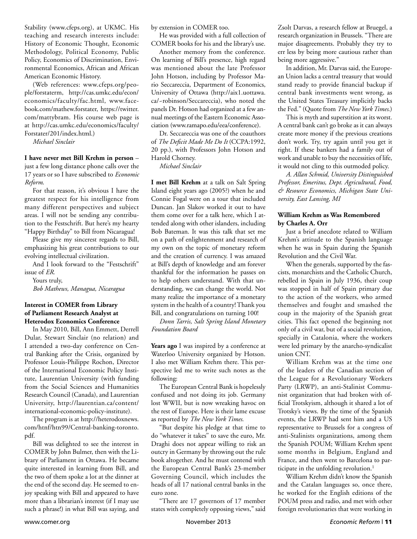Stability (www.cfeps.org), at UKMC. His teaching and research interests include: History of Economic Thought, Economic Methodology, Political Economy, Public Policy, Economics of Discrimination, Environmental Economics, African and African American Economic History.

(Web references: www.cfeps.org/people/forstaterm, http://cas.umkc.edu/econ/ economics/faculty/fac.html, www.facebook.com/mathew.forstater, https://twitter. com/mattybram. His course web page is at http://cas.umkc.edu/economics/faculty/ Forstater/201/index.html.)

*Michael Sinclair*

#### **I have never met Bill Krehm in person** –

just a few long distance phone calls over the 17 years or so I have subscribed to *Economic Reform*.

For that reason, it's obvious I have the greatest respect for his intelligence from many different perspectives and subject areas. I will not be sending any contribution to the Festschrift. But here's my hearty "Happy Birthday" to Bill from Nicaragua!

Please give my sincerest regards to Bill, emphasizing his great contributions to our evolving intellectual civilization.

And I look forward to the "Festschrift" issue of *ER*.

Yours truly, *Bob Mathews, Managua, Nicaragua*

#### **Interest in COMER from Library of Parliament Research Analyst at Heterodox Economics Conference**

In May 2010, Bill, Ann Emmett, Derrell Dular, Stewart Sinclair (no relation) and I attended a two-day conference on Central Banking after the Crisis, organized by Professor Louis-Philippe Rochon, Director of the International Economic Policy Institute, Laurentian University (with funding from the Social Sciences and Humanities Research Council (Canada), and Laurentian University, http://laurentian.ca/content/ international-economic-policy-institute).

The program is at http://heterodoxnews. com/htnf/htn99/Central-banking-toronto. pdf.

Bill was delighted to see the interest in COMER by John Bulmer, then with the Library of Parliament in Ottawa. He became quite interested in learning from Bill, and the two of them spoke a lot at the dinner at the end of the second day. He seemed to enjoy speaking with Bill and appeared to have more than a librarian's interest (if I may use such a phrase!) in what Bill was saying, and

by extension in COMER too.

He was provided with a full collection of COMER books for his and the library's use.

Another memory from the conference. On learning of Bill's presence, high regard was mentioned about the late Professor John Hotson, including by Professor Mario Seccareccia, Department of Economics, University of Ottawa (http://aix1.uottawa. ca/~robinson/Seccareccia), who noted the panels Dr. Hotson had organized at a few annual meetings of the Eastern Economic Association (www.ramapo.edu/eea/conference).

Dr. Seccareccia was one of the coauthors of *The Deficit Made Me Do It* (CCPA:1992, 20 pp.), with Professors John Hotson and Harold Chorney.

*Michael Sinclair*

**I met Bill Krehm** at a talk on Salt Spring Island eight years ago (2005?) when he and Connie Fogal were on a tour that included Duncan. Jan Slakov worked it out to have them come over for a talk here, which I attended along with other islanders, including Bob Bateman. It was this talk that set me on a path of enlightenment and research of my own on the topic of monetary reform and the creation of currency. I was amazed at Bill's depth of knowledge and am forever thankful for the information he passes on to help others understand. With that understanding, we can change the world. Not many realize the importance of a monetary system in the health of a country! Thank you Bill, and congratulations on turning 100!

*Donn Tarris, Salt Spring Island Monetary Foundation Board*

**Years ago** I was inspired by a conference at Waterloo University organized by Hotson. I also met William Krehm there. This perspective led me to write such notes as the following:

The European Central Bank is hopelessly confused and not doing its job. Germany lost WWII, but is now wreaking havoc on the rest of Europe. Here is their lame excuse as reported by *The New York Times*.

"But despite his pledge at that time to do ''whatever it takes'' to save the euro, Mr. Draghi does not appear willing to risk an outcry in Germany by throwing out the rule book altogether. And he must contend with the European Central Bank's 23-member Governing Council, which includes the heads of all 17 national central banks in the euro zone.

"There are 17 governors of 17 member states with completely opposing views," said

Zsolt Darvas, a research fellow at Bruegel, a research organization in Brussels. "There are major disagreements. Probably they try to err less by being more cautious rather than being more aggressive."

In addition, Mr. Darvas said, the European Union lacks a central treasury that would stand ready to provide financial backup if central bank investments went wrong, as the United States Treasury implicitly backs the Fed." (Quote from *The New York Times*.)

This is myth and superstition at its worst. A central bank can't go broke as it can always create more money if the previous creations don't work. Try, try again until you get it right. If these bankers had a family out of work and unable to buy the necessities of life, it would not cling to this outmoded policy.

*A. Allan Schmid, University Distinguished Professor, Emeritus, Dept. Agricultural, Food, & Resource Economics, Michigan State University, East Lansing, MI*

#### **William Krehm as Was Remembered by Charles A. Orr**

Just a brief anecdote related to William Krehm's attitude to the Spanish language when he was in Spain during the Spanish Revolution and the Civil War.

When the generals, supported by the fascists, monarchists and the Catholic Church, rebelled in Spain in July 1936, their coup was stopped in half of Spain primary due to the action of the workers, who armed themselves and fought and smashed the coup in the majority of the Spanish great cities. This fact opened the beginning not only of a civil war, but of a social revolution, specially in Catalonia, where the workers were led primary by the anarcho-syndicalist union CNT.

William Krehm was at the time one of the leaders of the Canadian section of the League for a Revolutionary Workers Party (LRWP), an anti-Stalinist Communist organization that had broken with official Trotskyism, although it shared a lot of Trotsky's views. By the time of the Spanish events, the LRWP had sent him and a US representative to Brussels for a congress of anti-Stalinists organizations, among them the Spanish POUM; William Krehm spent some months in Belgium, England and France, and then went to Barcelona to participate in the unfolding revolution.<sup>1</sup>

William Krehm didn't know the Spanish and the Catalan languages so, once there, he worked for the English editions of the POUM press and radio, and met with other foreign revolutionaries that were working in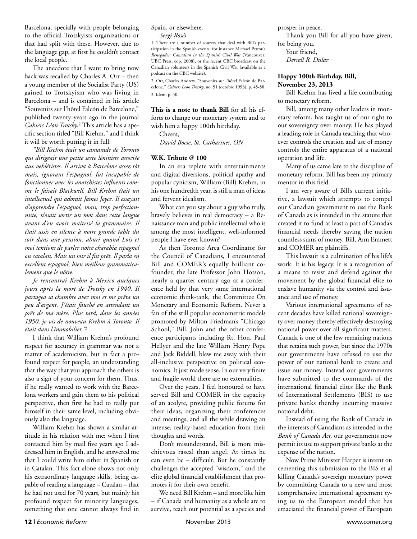Barcelona, specially with people belonging to the official Trotskyists organizations or that had split with these. However, due to the language gap, at first he couldn't contact the local people.

The anecdote that I want to bring now back was recalled by Charles A. Orr – then a young member of the Socialist Party (US) gained to Trotskyism who was living in Barcelona – and is contained in his article "Souvenirs sur l'hôtel Falcón de Barcelone," published twenty years ago in the journal *Cahiers Léon Trotsky*. 2 This article has a specific section titled "Bill Krehm," and I think it will be worth putting it in full:

*"Bill Krehm était un camarade de Toronto qui dirigeait une petite secte léniniste associée aux oehléristes. Il arriva à Barcelone assez tôt mais, ignorant l'espagnol, fut incapable de fonctionner avec les anarchistes influents comme le faisait Blackwell. Bill Krehm était un intellectuel qui adorait James Joyce. Il essayait d'apprendre l'espagnol, mais, trop perfectionniste, n'osait sortir un mot dans cette langue avant d'en avoir maîtrisé la grammaire. Il était assis en silence à notre grande table du soir dans une pension, ahuri quand Lois et moi tentions de parler notre charabia espagnol ou catalan. Mais un soir il fut prêt. Il parla en excellent espagnol, bien meilleur grammaticalement que le nôtre.*

*Je rencontrai Krehm à Mexico quelques jours après la mort de Trotsky en 1940. Il partagea sa chambre avec moi et me prêta un peu d'argent. J'étais fauché en attendant un prêt de ma mère. Plus tard, dans les années 1950, je vis de nouveau Krehm à Toronto. Il était dans l'immobilier."*<sup>3</sup>

I think that William Krehm's profound respect for accuracy in grammar was not a matter of academicism, but in fact a profound respect for people, an understanding that the way that you approach the others is also a sign of your concern for them. Thus, if he really wanted to work with the Barcelona workers and gain them to his political perspective, then first he had to really put himself in their same level, including obviously also the language.

William Krehm has shown a similar attitude in his relation with me: when I first contacted him by mail five years ago I addressed him in English, and he answered me that I could write him either in Spanish or in Catalan. This fact alone shows not only his extraordinary language skills, being capable of reading a language – Catalan – that he had not used for 70 years, but mainly his profound respect for minority languages, something that one cannot always find in

#### Spain, or elsewhere.

*Sergi Rosés*

1. There are a number of sources that deal with Bill's participation in the Spanish events, for instance Michael Petrou's *Renegades: Canadian in the Spanish Civil War* (Vancouver: UBC Press, cop. 2008), or the recent CBC broadcast on the Canadian volunteers in the Spanish Civil War (available as a podcast on the CBC website).

2. Orr, Charles Andrew. "Souvenirs sur l'hôtel Falcón de Barcelone." *Cahiers Léon Trotsky*, no. 51 (octobre 1993), p. 45-58. 3. Idem, p. 50.

**This is a note to thank Bill** for all his efforts to change our monetary system and to wish him a happy 100th birthday.

Cheers,

*David Boese, St. Catharines, ON*

#### **W.K. Tribute @ 100**

In an era replete with entertainments and digital diversions, political apathy and popular cynicism, William (Bill) Krehm, in his one hundredth year, is still a man of ideas and fervent idealism.

What can you say about a guy who truly, bravely believes in real democracy – a Renaissance man and public intellectual who is among the most intelligent, well-informed people I have ever known?

As then Toronto Area Coordinator for the Council of Canadians, I encountered Bill and COMER's equally brilliant cofounder, the late Professor John Hotson, nearly a quarter century ago at a conference held by that very same international economic think-tank, the Committee On Monetary and Economic Reform. Never a fan of the still popular econometric models promoted by Milton Friedman's "Chicago School," Bill, John and the other conference participants including Rt. Hon. Paul Hellyer and the late William Henry Pope and Jack Biddell, blew me away with their all-inclusive perspective on political economics. It just made sense. In our very finite and fragile world there are no externalities.

Over the years, I feel honoured to have served Bill and COMER in the capacity of an acolyte, providing public forums for their ideas, organizing their conferences and meetings, and all the while drawing an intense, reality-based education from their thoughts and words.

Don't misunderstand, Bill is more mischievous rascal than angel. At times he can even be – difficult. But he constantly challenges the accepted "wisdom," and the elite global financial establishment that promotes it for their own benefit.

We need Bill Krehm – and more like him – if Canada and humanity as a whole are to survive, reach our potential as a species and prosper in peace.

Thank you Bill for all you have given, for being you.

Your friend, *Derrell R. Dular*

#### **Happy 100th Birthday, Bill, November 23, 2013**

Bill Krehm has lived a life contributing to monetary reform.

Bill, among many other leaders in monetary reform, has taught us of our right to our sovereignty over money. He has played a leading role in Canada teaching that whoever controls the creation and use of money controls the entire apparatus of a national operation and life.

Many of us came late to the discipline of monetary reform. Bill has been my primary mentor in this field.

I am very aware of Bill's current initiative, a lawsuit which attempts to compel our Canadian government to use the Bank of Canada as is intended in the statute that created it to fund at least a part of Canada's financial needs thereby saving the nation countless sums of money. Bill, Ann Emmett and COMER are plaintiffs.

This lawsuit is a culmination of his life's work. It is his legacy. It is a recognition of a means to resist and defend against the movement by the global financial elite to enslave humanity via the control and issuance and use of money.

Various international agreements of recent decades have killed national sovereignty over money thereby effectively destroying national power over all significant matters. Canada is one of the few remaining nations that retains such power, but since the 1970s our governments have refused to use the power of our national bank to create and issue our money. Instead our governments have submitted to the commands of the international financial elites like the Bank of International Settlements (BIS) to use private banks thereby incurring massive national debt.

Instead of using the Bank of Canada in the interests of Canadians as intended in the *Bank of Canada Act*, our governments now permit its use to support private banks at the expense of the nation.

Now Prime Minister Harper is intent on cementing this submission to the BIS et al killing Canada's sovereign monetary power by committing Canada to a new and most comprehensive international agreement tying us to the European model that has emaciated the financial power of European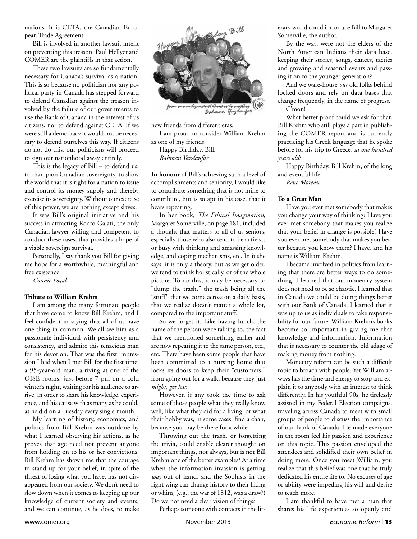nations. It is CETA, the Canadian European Trade Agreement.

Bill is involved in another lawsuit intent on preventing this treason. Paul Hellyer and COMER are the plaintiffs in that action.

These two lawsuits are so fundamentally necessary for Canada's survival as a nation. This is so because no politician nor any political party in Canada has stepped forward to defend Canadian against the treason involved by the failure of our governments to use the Bank of Canada in the interest of us citizens, nor to defend against CETA. If we were still a democracy it would not be necessary to defend ourselves this way. If citizens do not do this, our politicians will proceed to sign our nationhood away entirely.

This is the legacy of Bill – to defend us, to champion Canadian sovereignty, to show the world that it is right for a nation to issue and control its money supply and thereby exercise its sovereignty. Without our exercise of this power, we are nothing except slaves.

It was Bill's original initiative and his success in attracting Rocco Galati, the only Canadian lawyer willing and competent to conduct these cases, that provides a hope of a viable sovereign survival.

Personally, I say thank you Bill for giving me hope for a worthwhile, meaningful and free existence.

*Connie Fogal*

#### **Tribute to William Krehm**

I am among the many fortunate people that have come to know Bill Krehm, and I feel confident in saying that all of us have one thing in common. We all see him as a passionate individual with persistency and consistency, and admire this tenacious man for his devotion. That was the first impression I had when I met Bill for the first time: a 95-year-old man, arriving at one of the OISE rooms, just before 7 pm on a cold winter's night, waiting for his audience to arrive, in order to share his knowledge, experience, and his cause with as many as he could, as he did on a Tuesday every single month.

My learning of history, economics, and politics from Bill Krehm was outdone by what I learned observing his actions, as he proves that age need not prevent anyone from holding on to his or her convictions. Bill Krehm has shown me that the courage to stand up for your belief, in spite of the threat of losing what you have, has not disappeared from our society. We don't need to slow down when it comes to keeping up our knowledge of current society and events, and we can continue, as he does, to make



new friends from different eras.

I am proud to consider William Krehm as one of my friends.

Happy Birthday, Bill. *Bahman Yazdanfar*

**In honour** of Bill's achieving such a level of accomplishments and seniority, I would like to contribute something that is not mine to contribute, but is so apt in his case, that it bears repeating.

In her book, *The Ethical Imagination*, Margaret Somerville, on page 181, included a thought that matters to all of us seniors, especially those who also tend to be activists or busy with thinking and amassing knowledge, and coping mechanisms, etc. In it she says, it is only a theory, but as we get older, we tend to think holistically, or of the whole picture. To do this, it may be necessary to "dump the trash," the trash being all the "stuff" that we come across on a daily basis, that we realize doesn't matter a whole lot, compared to the important stuff.

So we forget it. Like having lunch, the name of the person we're talking to, the fact that we mentioned something earlier and are now repeating it to the same person, etc., etc. There have been some people that have been committed to a nursing home that locks its doors to keep their "customers," from going out for a walk, because they just *might, get lost*.

However, if any took the time to ask some of those people what they really know well, like what they did for a living, or what their hobby was, in some cases, find a chair, because you may be there for a while.

Throwing out the trash, or forgetting the trivia, could enable clearer thought on important things, not always, but is not Bill Krehm one of the better examples? At a time when the information invasion is getting *way* out of hand, and the Sophists in the right wing can change history to their liking or whim, (e.g., the war of 1812, was a draw?) Do we not need a clear vision of things?

Perhaps someone with contacts in the lit-

erary world could introduce Bill to Margaret Somerville, the author.

By the way, were not the elders of the North American Indians their data base, keeping their stories, songs, dances, tactics and growing and seasonal events and passing it on to the younger generation?

And we ware-house *our* old folks behind locked doors and rely on data bases that change frequently, in the name of progress. C'mon!

What better proof could we ask for than Bill Krehm who still plays a part in publishing the COMER report and is currently practicing his Greek language that he spoke before for his trip to Greece, *at one hundred years old!*

Happy Birthday, Bill Krehm, of the long and eventful life.

*Rene Moreau*

#### **To a Great Man**

Have you ever met somebody that makes you change your way of thinking? Have you ever met somebody that makes you realize that your belief in change is possible? Have you ever met somebody that makes you better because you know them? I have, and his name is William Krehm.

I became involved in politics from learning that there are better ways to do something. I learned that our monetary system does not need to be so chaotic. I learned that in Canada we could be doing things better with our Bank of Canada. I learned that it was up to us as individuals to take responsibility for our future. William Krehm's books became so important in giving me that knowledge and information. Information that is necessary to counter the old adage of making money from nothing.

Monetary reform can be such a difficult topic to broach with people. Yet William always has the time and energy to stop and explain it to anybody with an interest to think differently. In his youthful 90s, he tirelessly assisted in my Federal Election campaigns, traveling across Canada to meet with small groups of people to discuss the importance of our Bank of Canada. He made everyone in the room feel his passion and experience on this topic. This passion enveloped the attendees and solidified their own belief in doing more. Once you meet William, you realize that this belief was one that he truly dedicated his entire life to. No excuses of age or ability were impeding his will and desire to teach more.

I am thankful to have met a man that shares his life experiences so openly and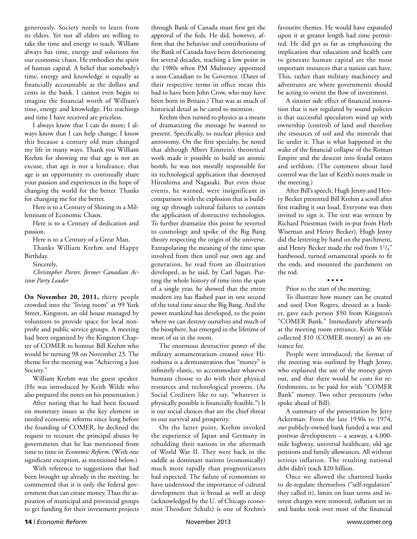generously. Society needs to learn from its elders. Yet not all elders are willing to take the time and energy to teach. William always has time, energy and solutions for our economic chaos. He embodies the spirit of human capital. A belief that somebody's time, energy and knowledge is equally as financially accountable as the dollars and cents in the bank. I cannot even begin to imagine the financial worth of William's time, energy and knowledge. His teachings and time I have received are priceless.

I always know that I can do more; I always know that I can help change; I know this because a century old man changed my life in many ways. Thank you William Krehm for showing me that age is not an excuse, that age is not a hindrance, that age is an opportunity to continually share your passion and experiences in the hope of changing the world for the better. Thanks for changing me for the better.

Here is to a Century of Shining in a Millennium of Economic Chaos.

Here is to a Century of dedication and passion.

Here is to a Century of a Great Man.

Thanks William Krehm and Happy Birthday.

Sincerely,

*Christopher Porter, former Canadian Action Party Leader*

**On November 20, 2011,** thirty people crowded into the "living room" at 99 York Street, Kingston, an old house managed by volunteers to provide space for local nonprofit and public service groups. A meeting had been organized by the Kingston Chapter of COMER to honour Bill Krehm who would be turning 98 on November 23. The theme for the meeting was "Achieving a Just Society."

William Krehm was the guest speaker. (He was introduced by Keith Wilde who also prepared the notes on his presentation.)

After noting that he had been focused on monetary issues as the key element in needed economic reforms since long before the founding of COMER, he declined the request to recount the principal abuses by governments that he has mentioned from time to time in *Economic Reform*. (With one significant exception, as mentioned below.)

With reference to suggestions that had been brought up already in the meeting, he commented that it is only the federal government that can create money. Thus the aspiration of municipal and provincial groups to get funding for their investment projects through Bank of Canada must first get the approval of the feds. He did, however, affirm that the behavior and contributions of the Bank of Canada have been deteriorating for several decades, reaching a low point in the 1980s when PM Mulroney appointed a non-Canadian to be Governor. (Dates of their respective terms in office mean this had to have been John Crow, who may have been born in Britain.) That was as much of historical detail as he cared to mention.

Krehm then turned to physics as a means of dramatizing the message he wanted to present. Specifically, to nuclear physics and astronomy. On the first specialty, he noted that although Albert Einstein's theoretical work made it possible to build an atomic bomb, he was not morally responsible for its technological application that destroyed Hiroshima and Nagasaki. But even those events, he warned, were insignificant in comparison with the explosion that is building up through cultural failures to contain the application of destructive technologies. To further dramatize this point he reverted to cosmology and spoke of the Big Bang theory respecting the origin of the universe. Extrapolating the meaning of the time span involved from then until our own age and generation, he read from an illustration developed, as he said, by Carl Sagan. Putting the whole history of time into the span of a single year, he showed that the entire modern era has flashed past in one second of the total time since the Big Bang. And the power mankind has developed, to the point where we can destroy ourselves and much of the biosphere, has emerged in the lifetime of most of us in the room.

The enormous destructive power of the military armamentarium created since Hiroshima is a demonstration that "money" is infinitely elastic, to accommodate whatever humans choose to do with their physical resources and technological prowess. (As Social Crediters like to say, "whatever is physically possible is financially feasible.") It is our social choices that are the chief threat to our survival and prosperity.

On the latter point, Krehm invoked the experience of Japan and Germany in rebuilding their nations in the aftermath of World War II. They were back in the saddle as dominant nations (economically) much more rapidly than prognosticators had expected. The failure of economists to have understood the importance of cultural development that is broad as well as deep (acknowledged by the U. of Chicago economist Theodore Schulz) is one of Krehm's favourite themes. He would have expanded upon it at greater length had time permitted. He did get as far as emphasizing the implication that education and health care to generate human capital are the most important resources that a nation can have. This, rather than military machinery and adventures are where governments should be acting to orient the flow of investment.

A sinister side effect of financial innovation that is not regulated by sound policies is that successful speculators wind up with ownership (control) of land and therefore the resources of soil and the minerals that lie under it. That is what happened in the wake of the financial collapse of the Roman Empire and the descent into feudal estates and serfdom. (The comment about land control was the last of Keith's notes made in the meeting.)

After Bill's speech, Hugh Jenny and Henry Becker presented Bill Krehm a scroll after first reading it out loud. Everyone was then invited to sign it. The text was written by Richard Priestman (with in-put from Herb Wiseman and Henry Becker), Hugh Jenny did the lettering by hand on the parchment, and Henry Becker made the rod from  $1^{1}/_{4}$ " hardwood, turned ornamental spools to fit the ends, and mounted the parchment on the rod.

#### • • • •

#### Prior to the start of the meeting:

To illustrate how money can be created and used Don Rogers, dressed as a banker, gave each person \$50 from Kingston's "COMER Bank." Immediately afterwards at the meeting room entrance, Keith Wilde collected \$10 (COMER money) as an entrance fee.

People were introduced; the format of the meeting was outlined by Hugh Jenny, who explained the use of the money given out, and that there would be costs for refreshments, to be paid for with "COMER Bank" money. Two other presenters (who spoke ahead of Bill).

A summary of the presentation by Jerry Ackerman: From the late 1930s to 1974, *our* publicly-owned bank funded a war and postwar developments – a seaway, a 4,000 mile highway, universal healthcare, old age pensions and family allowances. All without serious inflation. The resulting national debt didn't reach \$20 billion.

Once we allowed the chartered banks to de-regulate themselves ("self-regulation" they called it), limits on loan terms and interest charges were removed, inflation set in and banks took over most of the financial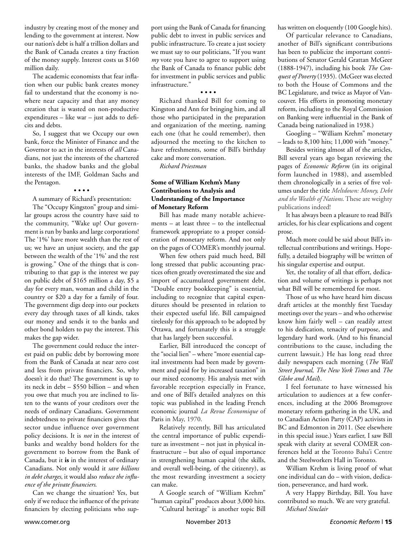industry by creating most of the money and lending to the government at interest. Now our nation's debt is half a trillion dollars and the Bank of Canada creates a tiny fraction of the money supply. Interest costs us \$160 million daily.

The academic economists that fear inflation when our public bank creates money fail to understand that the economy is nowhere near capacity and that any money creation that is wasted on non-productive expenditures – like war – just adds to deficits and debts.

So, I suggest that we Occupy our own bank, force the Minister of Finance and the Governor to act in the interests of *all* Canadians, not just the interests of the chartered banks, the shadow banks and the global interests of the IMF, Goldman Sachs and the Pentagon.

#### • • • •

A summary of Richard's presentation:

The "Occupy Kingston" group and similar groups across the country have said to the community, "Wake up! Our government is run by banks and large corporations! The '1%' have more wealth than the rest of us; we have an unjust society, and the gap between the wealth of the '1%' and the rest is growing." One of the things that is contributing to that gap is the interest we pay on public debt of \$165 million a day, \$5 a day for every man, woman and child in the country or \$20 a day for a family of four. The government digs deep into our pockets every day through taxes of all kinds, takes our money and sends it to the banks and other bond holders to pay the interest. This makes the gap wider.

The government could reduce the interest paid on public debt by borrowing more from the Bank of Canada at near zero cost and less from private financiers. So, why doesn't it do that? The government is up to its neck in debt – \$550 billion – and when you owe that much you are inclined to listen to the wants of your creditors over the needs of ordinary Canadians. Government indebtedness to private financiers gives that sector undue influence over government policy decisions. It is *not* in the interest of banks and wealthy bond holders for the government to borrow from the Bank of Canada, but it **is** in the interest of ordinary Canadians. Not only would it *save billions in debt charges*, it would also *reduce the influence of the private financiers*.

Can we change the situation? Yes, but only if we reduce the influence of the private financiers by electing politicians who support using the Bank of Canada for financing public debt to invest in public services and public infrastructure. To create a just society we must say to our politicians, "If you want *my* vote you have to agree to support using the Bank of Canada to finance public debt for investment in public services and public infrastructure."

#### • • • •

Richard thanked Bill for coming to Kingston and Ann for bringing him, and all those who participated in the preparation and organization of the meeting, naming each one (that he could remember), then adjourned the meeting to the kitchen to have refreshments, some of Bill's birthday cake and more conversation.

*Richard Priestman*

#### **Some of William Krehm's Many Contributions to Analysis and Understanding of the Importance of Monetary Reform**

Bill has made many notable achievements – at least three – to the intellectual framework appropriate to a proper consideration of monetary reform. And not only on the pages of COMER's monthly journal.

When few others paid much heed, Bill long stressed that public accounting practices often greatly overestimated the size and import of accumulated government debt. "Double entry bookkeeping" is essential, including to recognize that capital expenditures should be presented in relation to their expected useful life. Bill campaigned tirelessly for this approach to be adopted by Ottawa, and fortunately this is a struggle that has largely been successful.

Earlier, Bill introduced the concept of the "social lien" – where "more essential capital investments had been made by government and paid for by increased taxation" in our mixed economy. His analysis met with favorable reception especially in France, and one of Bill's detailed analyzes on this topic was published in the leading French economic journal *La Revue Économique* of Paris in May, 1970.

Relatively recently, Bill has articulated the central importance of public expenditure as investment – not just in physical infrastructure – but also of equal importance in strengthening human capital (the skills, and overall well-being, of the citizenry), as the most rewarding investment a society can make.

A Google search of "William Krehm" "human capital" produces about 3,000 hits.

"Cultural heritage" is another topic Bill

has written on eloquently (100 Google hits).

Of particular relevance to Canadians, another of Bill's significant contributions has been to publicize the important contributions of Senator Gerald Grattan McGeer (1888-1947), including his book *The Conquest of Poverty* (1935). (McGeer was elected to both the House of Commons and the BC Legislature, and twice as Mayor of Vancouver. His efforts in promoting monetary reform, including to the Royal Commission on Banking were influential in the Bank of Canada being nationalized in 1938.)

Googling – "William Krehm" monetary – leads to 8,100 hits; 11,000 with "money."

Besides writing almost all of the articles, Bill several years ago began reviewing the pages of *Economic Reform* (in its original form launched in 1988), and assembled them chronologically in a series of five volumes under the title *Meltdown: Money, Debt and the Wealth of Nations*. These are weighty publications indeed!

It has always been a pleasure to read Bill's articles, for his clear explications and cogent prose.

Much more could be said about Bill's intellectual contributions and writings. Hopefully, a detailed biography will be written of his singular expertise and output.

Yet, the totality of all that effort, dedication and volume of writings is perhaps not what Bill will be remembered for most.

Those of us who have heard him discuss draft articles at the monthly first Tuesday meetings over the years – and who otherwise know him fairly well – can readily attest to his dedication, tenacity of purpose, and legendary hard work. (And to his financial contributions to the cause, including the current lawsuit.) He has long read three daily newspapers each morning (*The Wall Street Journal*, *The New York Times* and *The Globe and Mail*).

I feel fortunate to have witnessed his articulation to audiences at a few conferences, including at the 2006 Bromsgrove monetary reform gathering in the UK, and to Canadian Action Party (CAP) activists in BC and Edmonton in 2011. (See elsewhere in this special issue.) Years earlier, I saw Bill speak with clarity at several COMER conferences held at the Toronto Baha'i Centre and the Steelworkers Hall in Toronto.

William Krehm is living proof of what one individual can do – with vision, dedication, perseverance, and hard work.

A very Happy Birthday, Bill. You have contributed so much. We are very grateful. *Michael Sinclair*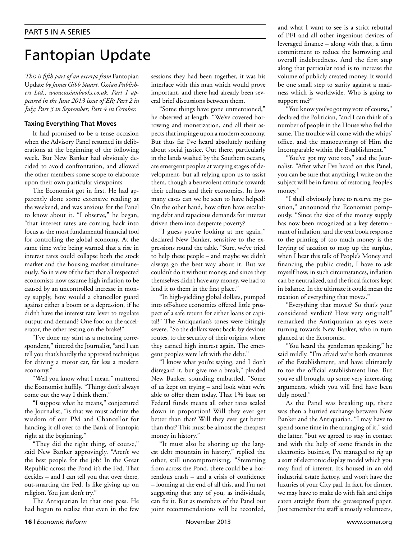# Fantopian Update

*This is fifth part of an excerpt from* Fantopian Update *by James Gibb Stuart, Ossian Publishers Ltd., www.ossianbooks.co.uk. Part 1 appeared in the June 2013 issue of ER; Part 2 in July; Part 3 in September; Part 4 in October.*

#### **Taxing Everything That Moves**

It had promised to be a tense occasion when the Advisory Panel resumed its deliberations at the beginning of the following week. But New Banker had obviously decided to avoid confrontation, and allowed the other members some scope to elaborate upon their own particular viewpoints.

The Economist got in first. He had apparently done some extensive reading at the weekend, and was anxious for the Panel to know about it. "I observe," he began, "that interest rates are coming back into focus as the most fundamental financial tool for controlling the global economy. At the same time we're being warned that a rise in interest rates could collapse both the stock market and the housing market simultaneously. So in view of the fact that all respected economists now assume high inflation to be caused by an uncontrolled increase in money supply, how would a chancellor guard against either a boom or a depression, if he didn't have the interest rate lever to regulate output and demand? One foot on the accelerator, the other resting on the brake!"

"I've done my stint as a motoring correspondent," tittered the Journalist, "and I can tell you that's hardly the approved technique for driving a motor car, far less a modern economy."

"Well you know what I mean," muttered the Economist huffily. "Things don't always come out the way I think them."

"I suppose what he means," conjectured the Journalist, "is that we must admire the wisdom of our PM and Chancellor for handing it all over to the Bank of Fantopia right at the beginning."

"They did the right thing, of course," said New Banker approvingly. "Aren't we the best people for the job? In the Great Republic across the Pond it's the Fed. That decides – and I can tell you that over there, out-smarting the Fed. Is like giving up on religion. You just don't try."

The Antiquarian let that one pass. He had begun to realize that even in the few

sessions they had been together, it was his interface with this man which would prove important, and there had already been several brief discussions between them.

"Some things have gone unmentioned," he observed at length. "We've covered borrowing and monetization, and all their aspects that impinge upon a modern economy. But thus far I've heard absolutely nothing about social justice. Out there, particularly in the lands washed by the Southern oceans, are emergent peoples at varying stages of development, but all relying upon us to assist them, though a benevolent attitude towards their cultures and their economies. In how many cases can we be seen to have helped? On the other hand, how often have escalating debt and rapacious demands for interest driven them into desperate poverty?

"I guess you're looking at me again," declared New Banker, sensitive to the expressions round the table. "Sure, we've tried to help these people – and maybe we didn't always go the best way about it. But we couldn't do it without money, and since they themselves didn't have any money, we had to lend it to them in the first place."

"In high-yielding global dollars, pumped into off-shore economies offered little prospect of a safe return for either loans or capital!" The Antiquarian's tones were bitingly severe. "So the dollars went back, by devious routes, to the security of their origins, where they earned high interest again. The emergent peoples were left with the debt."

"I know what you're saying, and I don't disregard it, but give me a break," pleaded New Banker, sounding embattled. "Some of us kept on trying – and look what we're able to offer them today. That 1% base on Federal funds means all other rates scaled down in proportion! Will they ever get better than that? Will they ever get better than that? This must be almost the cheapest money in history."

"It must also be shoring up the largest debt mountain in history," replied the other, still uncompromising. "Stemming from across the Pond, there could be a horrendous crash – and a crisis of confidence – looming at the end of all this, and I'm not suggesting that any of you, as individuals, can fix it. But as members of the Panel our joint recommendations will be recorded, and what I want to see is a strict rebuttal of PFI and all other ingenious devices of leveraged finance – along with that, a firm commitment to reduce the borrowing and overall indebtedness. And the first step along that particular road is to increase the volume of publicly created money. It would be one small step to sanity against a madness which is worldwide. Who is going to support me?"

"You know you've got my vote of course," declared the Politician, "and I can think of a number of people in the House who feel the same. The trouble will come with the whips' office, and the manoeuvrings of Him the Incomparable within the Establishment."

"You've got my vote too," said the Journalist. "After what I've heard on this Panel, you can be sure that anything I write on the subject will be in favour of restoring People's money."

"I shall obviously have to reserve my position," announced the Economist pompously. "Since the size of the money supply has now been recognized as a key determinant of inflation, and the text book response to the printing of too much money is the levying of taxation to mop up the surplus, when I hear this talk of People's Money and financing the public credit, I have to ask myself how, in such circumstances, inflation can be neutralized, and the fiscal factors kept in balance. In the ultimate it could mean the taxation of everything that moves."

"Everything that moves? So that's your considered verdict? How very original!" remarked the Antiquarian as eyes were turning towards New Banker, who in turn glanced at the Economist.

"You heard the gentleman speaking," he said mildly. "I'm afraid we're both creatures of the Establishment, and have ultimately to toe the official establishment line. But you've all brought up some very interesting arguments, which you will find have been duly noted."

As the Panel was breaking up, there was then a hurried exchange between New Banker and the Antiquarian. "I may have to spend some time in the arranging of it," said the latter, "but we agreed to stay in contact and with the help of some friends in the electronics business, I've managed to rig up a sort of electronic display model which you may find of interest. It's housed in an old industrial estate factory, and won't have the luxuries of your City pad. In fact, for dinner, we may have to make do with fish and chips eaten straight from the greaseproof paper. Just remember the staff is mostly volunteers,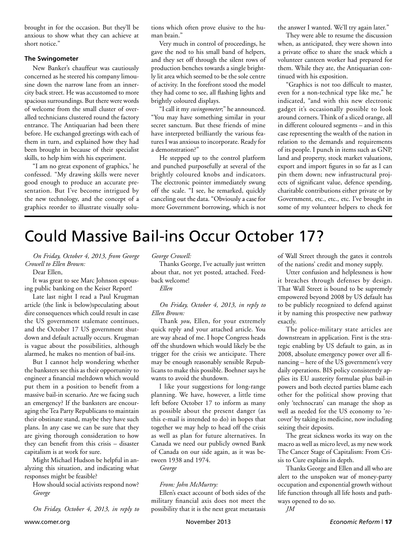brought in for the occasion. But they'll be anxious to show what they can achieve at short notice."

#### **The Swingometer**

New Banker's chauffeur was cautiously concerned as he steered his company limousine down the narrow lane from an innercity back street. He was accustomed to more spacious surroundings. But there were words of welcome from the small cluster of overalled technicians clustered round the factory entrance. The Antiquarian had been there before. He exchanged greetings with each of them in turn, and explained how they had been brought in because of their specialist skills, to help him with his experiment.

"I am no great exponent of graphics,' he confessed. "My drawing skills were never good enough to produce an accurate presentation. But I've become intrigued by the new technology, and the concept of a graphics reorder to illustrate visually solutions which often prove elusive to the human brain."

Very much in control of proceedings, he gave the nod to his small band of helpers, and they set off through the silent rows of production benches towards a single brightly lit area which seemed to be the sole centre of activity. In the forefront stood the model they had come to see, all flashing lights and brightly coloured displays.

"I call it my *swingometer*;" he announced. "You may have something similar in your secret sanctum. But these friends of mine have interpreted brilliantly the various features I was anxious to incorporate. Ready for a demonstration?"

He stepped up to the control platform and punched purposefully at several of the brightly coloured knobs and indicators. The electronic pointer immediately swung off the scale. "I see, he remarked, quickly canceling out the data. "Obviously a case for more Government borrowing, which is not the answer I wanted. We'll try again later."

They were able to resume the discussion when, as anticipated, they were shown into a private office to share the snack which a volunteer canteen worker had prepared for them. While they ate, the Antiquarian continued with his exposition.

"Graphics is not too difficult to master, even for a non-technical type like me," he indicated, "and with this new electronic gadget it's occasionally possible to look around corners. Think of a sliced orange, all in different coloured segments – and in this case representing the wealth of the nation in relation to the demands and requirements of its people. I punch in items such as GNP, land and property, stock market valuations, export and import figures in so far as I can pin them down; new infrastructural projects of significant value, defence spending, charitable contributions either private or by Government, etc., etc., etc. I've brought in some of my volunteer helpers to check for

### Could Massive Bail-ins Occur October 17?

*On Friday, October 4, 2013, from George Crowell to Ellen Brown:*

#### Dear Ellen,

It was great to see Marc Johnson espousing public banking on the Keiser Report!

Late last night I read a Paul Krugman article (the link is below)speculating about dire consequences which could result in case the US government stalemate continues, and the October 17 US government shutdown and default actually occurs. Krugman is vague about the possibilities, although alarmed, he makes no mention of bail-ins.

But I cannot help wondering whether the banksters see this as their opportunity to engineer a financial meltdown which would put them in a position to benefit from a massive bail-in scenario. Are we facing such an emergency? If the banksters are encouraging the Tea Party Republicans to maintain their obstinate stand, maybe they have such plans. In any case we can be sure that they are giving thorough consideration to how they can benefit from this crisis – disaster capitalism is at work for sure.

Might Michael Hudson be helpful in analyzing this situation, and indicating what responses might be feasible?

How should social activists respond now? *George*

*On Friday, October 4, 2013, in reply to* 

#### *George Crowell:*

Thanks George, I've actually just written about that, not yet posted, attached. Feedback welcome!

*Ellen*

#### *On Friday, October 4, 2013, in reply to Ellen Brown:*

Thank *you*, Ellen, for your extremely quick reply and your attached article. You are way ahead of me. I hope Congress heads off the shutdown which would likely be the trigger for the crisis we anticipate. There may be enough reasonably sensible Republicans to make this possible. Boehner says he wants to avoid the shutdown.

I like your suggestions for long-range planning. We have, however, a little time left before October 17 to inform as many as possible about the present danger (as this e-mail is intended to do) in hopes that together we may help to head off the crisis as well as plan for future alternatives. In Canada we need our publicly owned Bank of Canada on our side again, as it was between 1938 and 1974.

*George*

#### *From: John McMurtry:*

Ellen's exact account of both sides of the military financial axis does not meet the possibility that it is the next great metastasis of Wall Street through the gates it controls of the nations' credit and money supply.

Utter confusion and helplessness is how it breaches through defenses by design. That Wall Street is bound to be supremely empowered beyond 2008 by US default has to be publicly recognized to defend against it by naming this prospective new pathway exactly.

The police-military state articles are downstream in application. First is the strategic enabling by US default to gain, as in 2008, absolute emergency power over all financing – here of the US government's very daily operations. BIS policy consistently applies its EU austerity formulae plus bail-in powers and both elected parties blame each other for the political show proving that only 'technocrats' can manage the shop as well as needed for the US economy to 'recover' by taking its medicine, now including seizing their deposits.

The great sickness works its way on the macro as well as micro level, as my new work The Cancer Stage of Capitalism: From Crisis to Cure explains in depth.

Thanks George and Ellen and all who are alert to the unspoken war of money-party occupation and exponential growth without life function through all life hosts and pathways opened to do so.

*JM*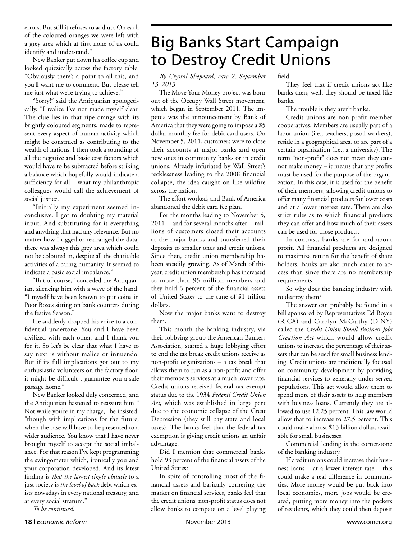errors. But still it refuses to add up. On each of the coloured oranges we were left with a grey area which at first none of us could identify and understand."

New Banker put down his coffee cup and looked quizzically across the factory table. "Obviously there's a point to all this, and you'll want me to comment. But please tell me just what we're trying to achieve."

"Sorry!" said the Antiquarian apologetically. "I realize I've not made myself clear. The clue lies in that ripe orange with its brightly coloured segments, made to represent every aspect of human activity which might be construed as contributing to the wealth of nations. I then took a sounding of all the negative and basic cost factors which would have to be subtracted before striking a balance which hopefully would indicate a sufficiency for all – what my philanthropic colleagues would call the achievement of social justice.

"Initially my experiment seemed inconclusive. I got to doubting my material input. And substituting for it everything and anything that had any relevance. But no matter how I rigged or rearranged the data, there was always this grey area which could not be coloured in, despite all the charitable activities of a caring humanity. It seemed to indicate a basic social imbalance."

"But of course," conceded the Antiquarian, silencing him with a wave of the hand. "I myself have been known to put coins in Poor Boxes sitting on bank counters during the festive Season."

He suddenly dropped his voice to a confidential undertone. You and I have been civilized with each other, and I thank you for it. So let's be clear that what I have to say next is without malice or innuendo. But if its full implications got out to my enthusiastic volunteers on the factory floor, it might be difficult t guarantee you a safe passage home."

New Banker looked duly concerned, and the Antiquarian hastened to reassure him " Not while you're in my charge," he insisted, "though with implications for the future, when the case will have to be presented to a wider audience. You know that I have never brought myself to accept the social imbalance. For that reason I've kept programming the swingometer which, ironically you and your corporation developed. And its latest finding is *that the largest single obstacle* to a just society is *the level of back* debt which exists nowadays in every national treasury, and at every social stratum."

*To be continued.*

# Big Banks Start Campaign to Destroy Credit Unions

*By Crystal Shepeard, care 2, September 13, 2013*

The Move Your Money project was born out of the Occupy Wall Street movement, which began in September 2011. The impetus was the announcement by Bank of America that they were going to impose a \$5 dollar monthly fee for debit card users. On November 5, 2011, customers were to close their accounts at major banks and open new ones in community banks or in credit unions. Already infuriated by Wall Street's recklessness leading to the 2008 financial collapse, the idea caught on like wildfire across the nation.

The effort worked, and Bank of America abandoned the debit card fee plan.

For the months leading to November 5, 2011 – and for several months after – millions of customers closed their accounts at the major banks and transferred their deposits to smaller ones and credit unions. Since then, credit union membership has been steadily growing. As of March of this year, credit union membership has increased to more than 95 million members and they hold 6 percent of the financial assets of United States to the tune of \$1 trillion dollars.

Now the major banks want to destroy them.

This month the banking industry, via their lobbying group the American Bankers Association, started a huge lobbying effort to end the tax break credit unions receive as non-profit organizations – a tax break that allows them to run as a non-profit and offer their members services at a much lower rate. Credit unions received federal tax exempt status due to the 1934 *Federal Credit Union Act*, which was established in large part due to the economic collapse of the Great Depression (they still pay state and local taxes). The banks feel that the federal tax exemption is giving credit unions an unfair advantage.

Did I mention that commercial banks hold 93 percent of the financial assets of the United States?

In spite of controlling most of the financial assets and basically cornering the market on financial services, banks feel that the credit unions' non-profit status does not allow banks to compete on a level playing field.

They feel that if credit unions act like banks then, well, they should be taxed like banks.

The trouble is they aren't banks.

Credit unions are non-profit member cooperatives. Members are usually part of a labor union (i.e., teachers, postal workers), reside in a geographical area, or are part of a certain organization (i.e., a university). The term "non-profit" does not mean they cannot make money – it means that any profits must be used for the purpose of the organization. In this case, it is used for the benefit of their members, allowing credit unions to offer many financial products for lower costs and at a lower interest rate. There are also strict rules as to which financial products they can offer and how much of their assets can be used for those products.

In contrast, banks are for and about profit. All financial products are designed to maximize return for the benefit of share holders. Banks are also much easier to access than since there are no membership requirements.

So why does the banking industry wish to destroy them?

The answer can probably be found in a bill sponsored by Representatives Ed Royce (R-CA) and Carolyn McCarthy (D-NY) called the *Credit Union Small Business Jobs Creation Act* which would allow credit unions to increase the percentage of their assets that can be sued for small business lending. Credit unions are traditionally focused on community development by providing financial services to generally under-served populations. This act would allow them to spend more of their assets to help members with business loans. Currently they are allowed to use 12.25 percent. This law would allow that to increase to 27.5 percent. This could make almost \$13 billion dollars available for small businesses.

Commercial lending is the cornerstone of the banking industry.

If credit unions could increase their business loans – at a lower interest rate – this could make a real difference in communities. More money would be put back into local economies, more jobs would be created, putting more money into the pockets of residents, which they could then deposit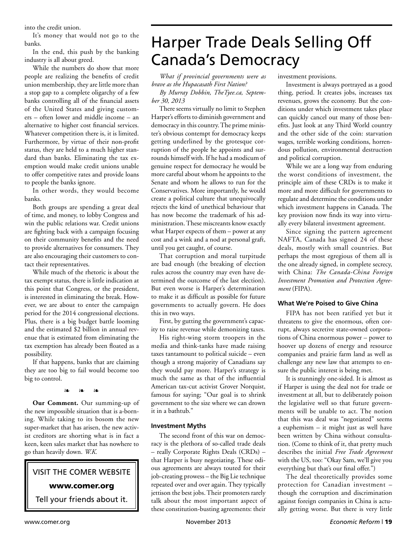into the credit union.

It's money that would not go to the banks.

In the end, this push by the banking industry is all about greed.

While the numbers do show that more people are realizing the benefits of credit union membership, they are little more than a stop gap to a complete oligarchy of a few banks controlling all of the financial assets of the United States and giving customers – often lower and middle income – an alternative to higher cost financial services. Whatever competition there is, it is limited. Furthermore, by virtue of their non-profit status, they are held to a much higher standard than banks. Eliminating the tax exemption would make credit unions unable to offer competitive rates and provide loans to people the banks ignore.

In other words, they would become banks.

Both groups are spending a great deal of time, and money, to lobby Congress and win the public relations war. Credit unions are fighting back with a campaign focusing on their community benefits and the need to provide alternatives for consumers. They are also encouraging their customers to contact their representatives.

While much of the rhetoric is about the tax exempt status, there is little indication at this point that Congress, or the president, is interested in eliminating the break. However, we are about to enter the campaign period for the 2014 congressional elections. Plus, there is a big budget battle looming and the estimated \$2 billion in annual revenue that is estimated from eliminating the tax exemption has already been floated as a possibility.

If that happens, banks that are claiming they are too big to fail would become too big to control.

❧ ❧ ❧

**Our Comment.** Our summing-up of the new impossible situation that is a-borning. While taking to its bosom the new super-market that has arisen, the new activist creditors are shorting what is in fact a keen, keen sales market that has nowhere to go than heavily down. *W.K.*

### VISIT THE COMER WEBSITE www.comer.org Tell your friends about it.

# Harper Trade Deals Selling Off Canada's Democracy

*What if provincial governments were as brave as the Hupacasath First Nation?*

*By Murray Dobbin, TheTyee.ca, September 30, 2013*

There seems virtually no limit to Stephen Harper's efforts to diminish government and democracy in this country. The prime minister's obvious contempt for democracy keeps getting underlined by the grotesque corruption of the people he appoints and surrounds himself with. If he had a modicum of genuine respect for democracy he would be more careful about whom he appoints to the Senate and whom he allows to run for the Conservatives. More importantly, he would create a political culture that unequivocally rejects the kind of unethical behaviour that has now become the trademark of his administration. These miscreants know exactly what Harper expects of them – power at any cost and a wink and a nod at personal graft, until you get caught, of course.

That corruption and moral turpitude are bad enough (the breaking of election rules across the country may even have determined the outcome of the last election). But even worse is Harper's determination to make it as difficult as possible for future governments to actually govern. He does this in two ways.

First, by gutting the government's capacity to raise revenue while demonizing taxes.

His right-wing storm troopers in the media and think-tanks have made raising taxes tantamount to political suicide – even though a strong majority of Canadians say they would pay more. Harper's strategy is much the same as that of the influential American tax-cut activist Grover Norquist, famous for saying; "Our goal is to shrink government to the size where we can drown it in a bathtub."

#### **Investment Myths**

The second front of this war on democracy is the plethora of so-called trade deals – really Corporate Rights Deals (CRDs) – that Harper is busy negotiating. These odious agreements are always touted for their job-creating prowess – the Big Lie technique repeated over and over again. They typically jettison the best jobs. Their promoters rarely talk about the most important aspect of these constitution-busting agreements: their investment provisions.

Investment is always portrayed as a good thing, period. It creates jobs, increases tax revenues, grows the economy. But the conditions under which investment takes place can quickly cancel out many of those benefits. Just look at any Third World country and the other side of the coin: starvation wages, terrible working conditions, horrendous pollution, environmental destruction and political corruption.

While we are a long way from enduring the worst conditions of investment, the principle aim of these CRDs is to make it more and more difficult for governments to regulate and determine the conditions under which investment happens in Canada. The key provision now finds its way into virtually every bilateral investment agreement.

Since signing the pattern agreement NAFTA, Canada has signed 24 of these deals, mostly with small countries. But perhaps the most egregious of them all is the one already signed, in complete secrecy, with China: *The Canada-China Foreign Investment Promotion and Protection Agreement* (FIPA).

#### **What We're Poised to Give China**

FIPA has not been ratified yet but it threatens to give the enormous, often corrupt, always secretive state-owned corporations of China enormous power – power to hoover up dozens of energy and resource companies and prairie farm land as well as challenge any new law that attempts to ensure the public interest is being met.

It is stunningly one-sided. It is almost as if Harper is using the deal not for trade or investment at all, but to deliberately poison the legislative well so that future governments will be unable to act. The notion that this was deal was "negotiated" seems a euphemism – it might just as well have been written by China without consultation. (Come to think of it, that pretty much describes the initial *Free Trade Agreement* with the US, too: "Okay Sam, we'll give you everything but that's our final offer.")

The deal theoretically provides some protection for Canadian investment – though the corruption and discrimination against foreign companies in China is actually getting worse. But there is very little